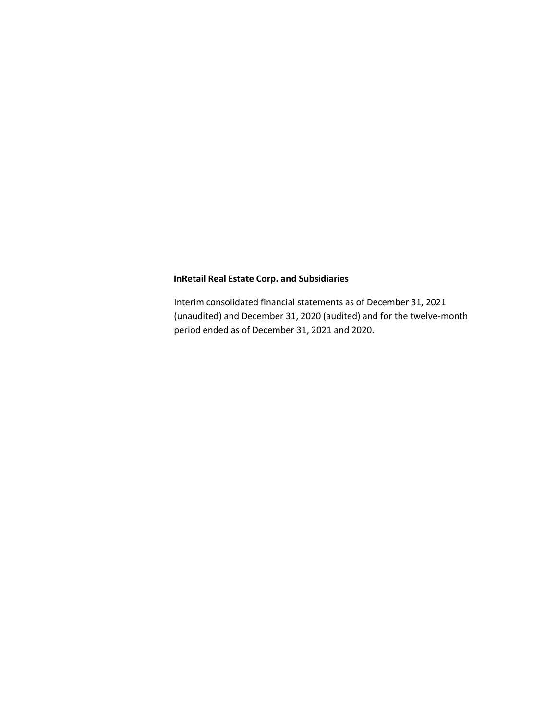Interim consolidated financial statements as of December 31, 2021 (unaudited) and December 31, 2020 (audited) and for the twelve-month period ended as of December 31, 2021 and 2020.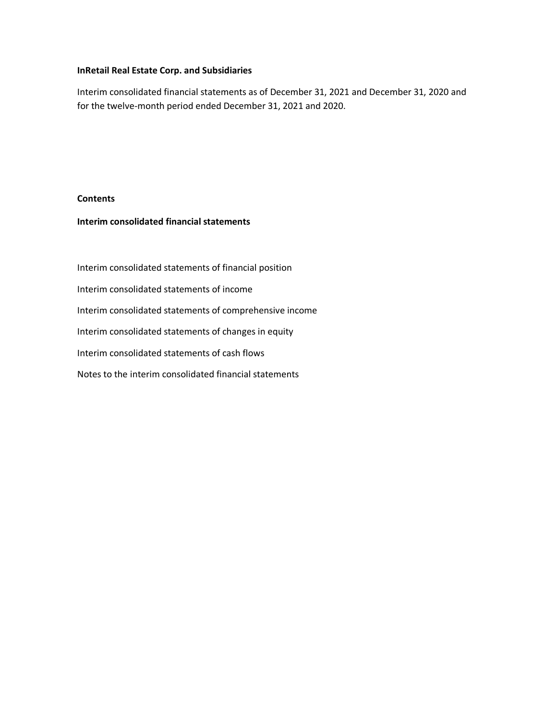Interim consolidated financial statements as of December 31, 2021 and December 31, 2020 and for the twelve-month period ended December 31, 2021 and 2020.

# **Contents**

# **Interim consolidated financial statements**

Interim consolidated statements of financial position Interim consolidated statements of income Interim consolidated statements of comprehensive income Interim consolidated statements of changes in equity Interim consolidated statements of cash flows Notes to the interim consolidated financial statements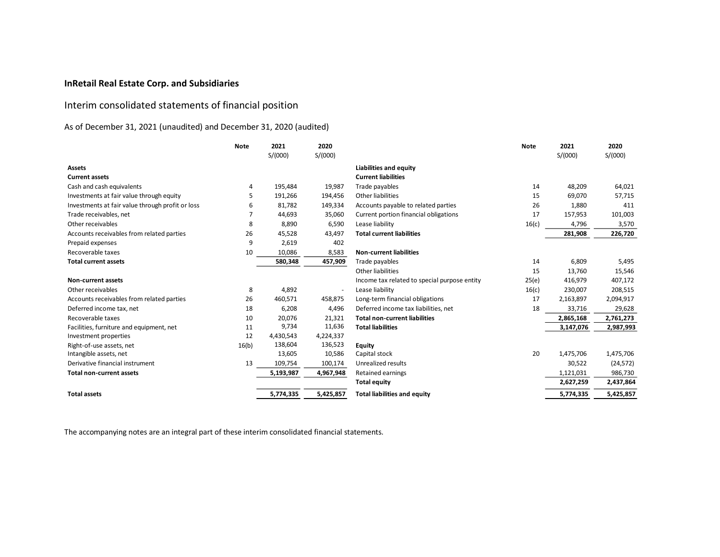# Interim consolidated statements of financial position

# As of December 31, 2021 (unaudited) and December 31, 2020 (audited)

|                                                  | <b>Note</b> | 2021      | 2020      |                                              | <b>Note</b> | 2021      | 2020      |
|--------------------------------------------------|-------------|-----------|-----------|----------------------------------------------|-------------|-----------|-----------|
|                                                  |             | S/(000)   | S/(000)   |                                              |             | S/(000)   | S/(000)   |
| <b>Assets</b>                                    |             |           |           | Liabilities and equity                       |             |           |           |
| <b>Current assets</b>                            |             |           |           | <b>Current liabilities</b>                   |             |           |           |
| Cash and cash equivalents                        | 4           | 195,484   | 19,987    | Trade payables                               | 14          | 48,209    | 64,021    |
| Investments at fair value through equity         | 5           | 191,266   | 194,456   | Other liabilities                            | 15          | 69,070    | 57,715    |
| Investments at fair value through profit or loss | 6           | 81,782    | 149,334   | Accounts payable to related parties          | 26          | 1,880     | 411       |
| Trade receivables, net                           |             | 44,693    | 35,060    | Current portion financial obligations        | 17          | 157,953   | 101,003   |
| Other receivables                                | 8           | 8,890     | 6,590     | Lease liability                              | 16(c)       | 4,796     | 3,570     |
| Accounts receivables from related parties        | 26          | 45,528    | 43,497    | <b>Total current liabilities</b>             |             | 281,908   | 226,720   |
| Prepaid expenses                                 | 9           | 2,619     | 402       |                                              |             |           |           |
| Recoverable taxes                                | 10          | 10,086    | 8,583     | <b>Non-current liabilities</b>               |             |           |           |
| <b>Total current assets</b>                      |             | 580,348   | 457,909   | Trade payables                               | 14          | 6,809     | 5,495     |
|                                                  |             |           |           | Other liabilities                            | 15          | 13,760    | 15,546    |
| Non-current assets                               |             |           |           | Income tax related to special purpose entity | 25(e)       | 416,979   | 407,172   |
| Other receivables                                | 8           | 4,892     | $\sim$    | Lease liability                              | 16(c)       | 230,007   | 208,515   |
| Accounts receivables from related parties        | 26          | 460,571   | 458,875   | Long-term financial obligations              | 17          | 2,163,897 | 2,094,917 |
| Deferred income tax, net                         | 18          | 6,208     | 4,496     | Deferred income tax liabilities, net         | 18          | 33,716    | 29,628    |
| Recoverable taxes                                | 10          | 20,076    | 21,321    | <b>Total non-current liabilities</b>         |             | 2,865,168 | 2,761,273 |
| Facilities, furniture and equipment, net         | 11          | 9,734     | 11,636    | <b>Total liabilities</b>                     |             | 3,147,076 | 2,987,993 |
| Investment properties                            | 12          | 4,430,543 | 4,224,337 |                                              |             |           |           |
| Right-of-use assets, net                         | 16(b)       | 138,604   | 136,523   | Equity                                       |             |           |           |
| Intangible assets, net                           |             | 13,605    | 10,586    | Capital stock                                | 20          | 1,475,706 | 1,475,706 |
| Derivative financial instrument                  | 13          | 109,754   | 100,174   | Unrealized results                           |             | 30,522    | (24, 572) |
| <b>Total non-current assets</b>                  |             | 5,193,987 | 4,967,948 | Retained earnings                            |             | 1,121,031 | 986,730   |
|                                                  |             |           |           | <b>Total equity</b>                          |             | 2,627,259 | 2,437,864 |
| <b>Total assets</b>                              |             | 5,774,335 | 5,425,857 | <b>Total liabilities and equity</b>          |             | 5,774,335 | 5,425,857 |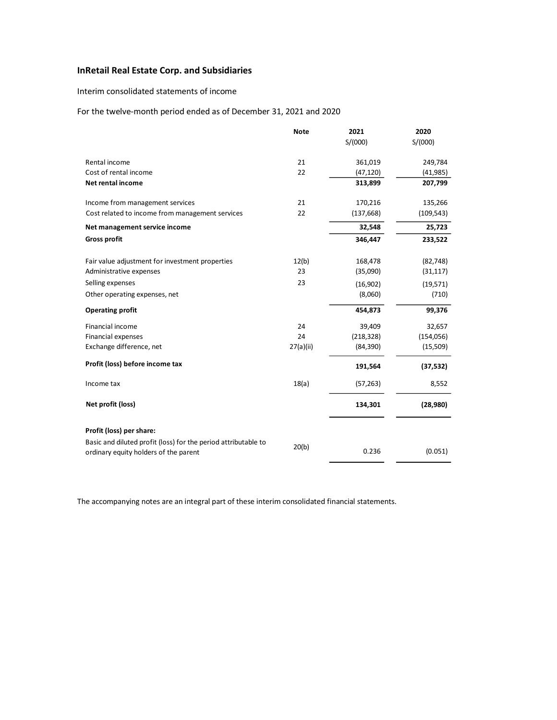## Interim consolidated statements of income

## For the twelve-month period ended as of December 31, 2021 and 2020

|                                                                                                         | <b>Note</b> | 2021       | 2020       |
|---------------------------------------------------------------------------------------------------------|-------------|------------|------------|
|                                                                                                         |             | S/(000)    | S/(000)    |
| Rental income                                                                                           | 21          | 361,019    | 249,784    |
| Cost of rental income                                                                                   | 22          | (47, 120)  | (41, 985)  |
| Net rental income                                                                                       |             | 313,899    | 207,799    |
| Income from management services                                                                         | 21          | 170,216    | 135,266    |
| Cost related to income from management services                                                         | 22          | (137, 668) | (109, 543) |
| Net management service income                                                                           |             | 32,548     | 25,723     |
| <b>Gross profit</b>                                                                                     |             | 346,447    | 233,522    |
| Fair value adjustment for investment properties                                                         | 12(b)       | 168,478    | (82, 748)  |
| Administrative expenses                                                                                 | 23          | (35,090)   | (31, 117)  |
| Selling expenses                                                                                        | 23          | (16,902)   | (19,571)   |
| Other operating expenses, net                                                                           |             | (8,060)    | (710)      |
| <b>Operating profit</b>                                                                                 |             | 454,873    | 99,376     |
| Financial income                                                                                        | 24          | 39,409     | 32,657     |
| <b>Financial expenses</b>                                                                               | 24          | (218, 328) | (154, 056) |
| Exchange difference, net                                                                                | 27(a)(ii)   | (84, 390)  | (15, 509)  |
| Profit (loss) before income tax                                                                         |             | 191,564    | (37, 532)  |
| Income tax                                                                                              | 18(a)       | (57, 263)  | 8,552      |
| Net profit (loss)                                                                                       |             | 134,301    | (28,980)   |
| Profit (loss) per share:                                                                                |             |            |            |
| Basic and diluted profit (loss) for the period attributable to<br>ordinary equity holders of the parent | 20(b)       | 0.236      | (0.051)    |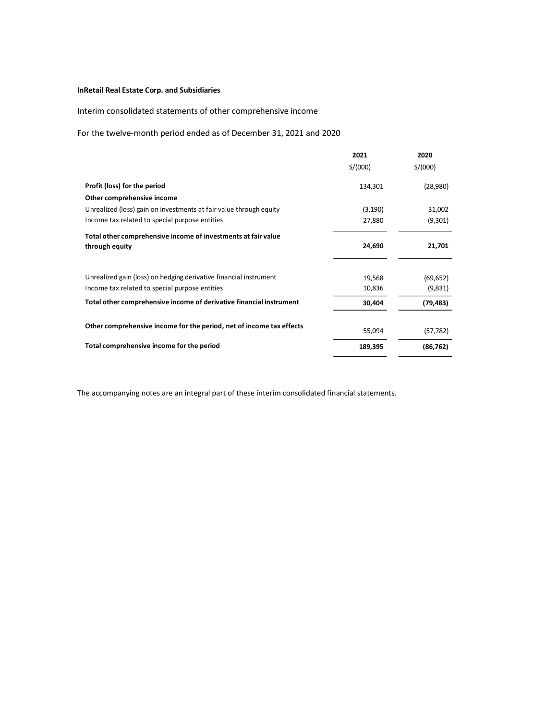# Interim consolidated statements of other comprehensive income

# For the twelve-month period ended as of December 31, 2021 and 2020

|                                                                      | 2021     | 2020      |
|----------------------------------------------------------------------|----------|-----------|
|                                                                      | S/(000)  | S/(000)   |
| Profit (loss) for the period                                         | 134,301  | (28,980)  |
| Other comprehensive income                                           |          |           |
| Unrealized (loss) gain on investments at fair value through equity   | (3, 190) | 31,002    |
| Income tax related to special purpose entities                       | 27,880   | (9,301)   |
| Total other comprehensive income of investments at fair value        |          |           |
| through equity                                                       | 24,690   | 21,701    |
|                                                                      |          |           |
| Unrealized gain (loss) on hedging derivative financial instrument    | 19,568   | (69, 652) |
| Income tax related to special purpose entities                       | 10,836   | (9,831)   |
| Total other comprehensive income of derivative financial instrument  | 30,404   | (79, 483) |
|                                                                      |          |           |
| Other comprehensive income for the period, net of income tax effects | 55,094   | (57, 782) |
| Total comprehensive income for the period                            | 189,395  | (86, 762) |
|                                                                      |          |           |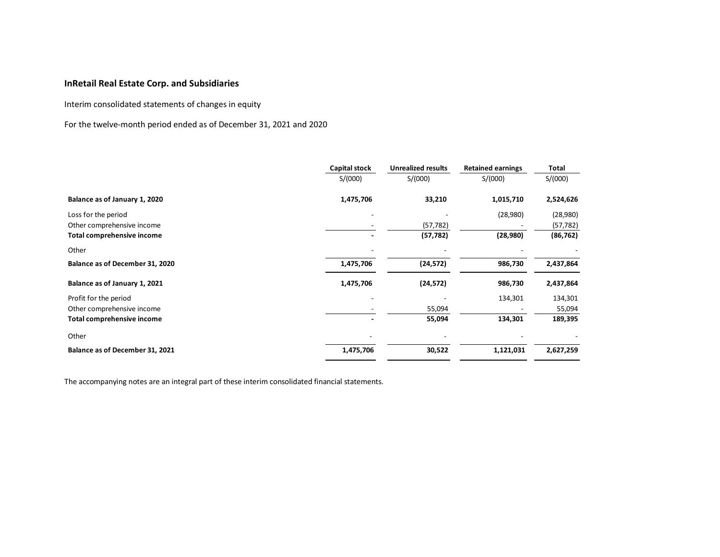Interim consolidated statements of changes in equity

For the twelve-month period ended as of December 31, 2021 and 2020

|                                   | Capital stock | <b>Unrealized results</b> | <b>Retained earnings</b> | Total     |
|-----------------------------------|---------------|---------------------------|--------------------------|-----------|
|                                   | S/(000)       | S/(000)                   | S/(000)                  | S/(000)   |
| Balance as of January 1, 2020     | 1,475,706     | 33,210                    | 1,015,710                | 2,524,626 |
| Loss for the period               |               |                           | (28,980)                 | (28,980)  |
| Other comprehensive income        |               | (57, 782)                 |                          | (57, 782) |
| Total comprehensive income        |               | (57, 782)                 | (28,980)                 | (86, 762) |
| Other                             |               |                           |                          |           |
| Balance as of December 31, 2020   | 1,475,706     | (24, 572)                 | 986,730                  | 2,437,864 |
| Balance as of January 1, 2021     | 1,475,706     | (24, 572)                 | 986,730                  | 2,437,864 |
| Profit for the period             |               |                           | 134,301                  | 134,301   |
| Other comprehensive income        |               | 55,094                    |                          | 55,094    |
| <b>Total comprehensive income</b> |               | 55,094                    | 134,301                  | 189,395   |
| Other                             |               |                           |                          |           |
| Balance as of December 31, 2021   | 1,475,706     | 30,522                    | 1,121,031                | 2,627,259 |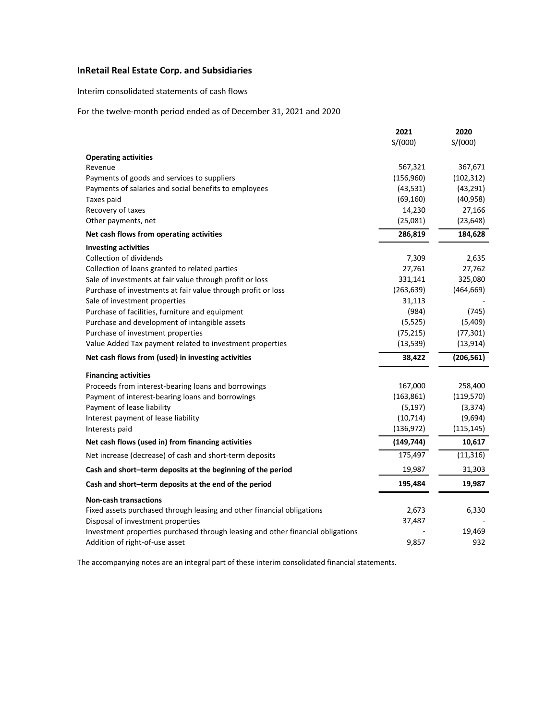Interim consolidated statements of cash flows

For the twelve-month period ended as of December 31, 2021 and 2020

|                                                                                                                          | 2021<br>S/(000)         | 2020<br>S/(000)        |
|--------------------------------------------------------------------------------------------------------------------------|-------------------------|------------------------|
|                                                                                                                          |                         |                        |
| <b>Operating activities</b>                                                                                              |                         |                        |
| Revenue                                                                                                                  | 567,321                 | 367,671                |
| Payments of goods and services to suppliers                                                                              | (156,960)               | (102, 312)             |
| Payments of salaries and social benefits to employees                                                                    | (43, 531)               | (43, 291)<br>(40, 958) |
| Taxes paid                                                                                                               | (69, 160)<br>14,230     | 27,166                 |
| Recovery of taxes<br>Other payments, net                                                                                 | (25,081)                | (23, 648)              |
| Net cash flows from operating activities                                                                                 | 286,819                 | 184,628                |
|                                                                                                                          |                         |                        |
| <b>Investing activities</b>                                                                                              |                         |                        |
| Collection of dividends                                                                                                  | 7,309                   | 2,635                  |
| Collection of loans granted to related parties                                                                           | 27,761<br>331,141       | 27,762<br>325,080      |
| Sale of investments at fair value through profit or loss<br>Purchase of investments at fair value through profit or loss | (263, 639)              | (464, 669)             |
| Sale of investment properties                                                                                            | 31,113                  |                        |
| Purchase of facilities, furniture and equipment                                                                          | (984)                   | (745)                  |
| Purchase and development of intangible assets                                                                            | (5, 525)                | (5,409)                |
| Purchase of investment properties                                                                                        | (75, 215)               | (77, 301)              |
| Value Added Tax payment related to investment properties                                                                 | (13, 539)               | (13, 914)              |
| Net cash flows from (used) in investing activities                                                                       | 38,422                  | (206, 561)             |
|                                                                                                                          |                         |                        |
| <b>Financing activities</b>                                                                                              |                         |                        |
| Proceeds from interest-bearing loans and borrowings                                                                      | 167,000                 | 258,400                |
| Payment of interest-bearing loans and borrowings                                                                         | (163, 861)              | (119, 570)             |
| Payment of lease liability                                                                                               | (5, 197)                | (3, 374)               |
| Interest payment of lease liability                                                                                      | (10, 714)<br>(136, 972) | (9,694)                |
| Interests paid                                                                                                           |                         | (115, 145)             |
| Net cash flows (used in) from financing activities                                                                       | (149, 744)              | 10,617                 |
| Net increase (decrease) of cash and short-term deposits                                                                  | 175,497                 | (11, 316)              |
| Cash and short-term deposits at the beginning of the period                                                              | 19,987                  | 31,303                 |
| Cash and short-term deposits at the end of the period                                                                    | 195,484                 | 19,987                 |
| <b>Non-cash transactions</b>                                                                                             |                         |                        |
| Fixed assets purchased through leasing and other financial obligations                                                   | 2,673                   | 6,330                  |
| Disposal of investment properties                                                                                        | 37,487                  |                        |
| Investment properties purchased through leasing and other financial obligations                                          |                         | 19,469                 |
| Addition of right-of-use asset                                                                                           | 9,857                   | 932                    |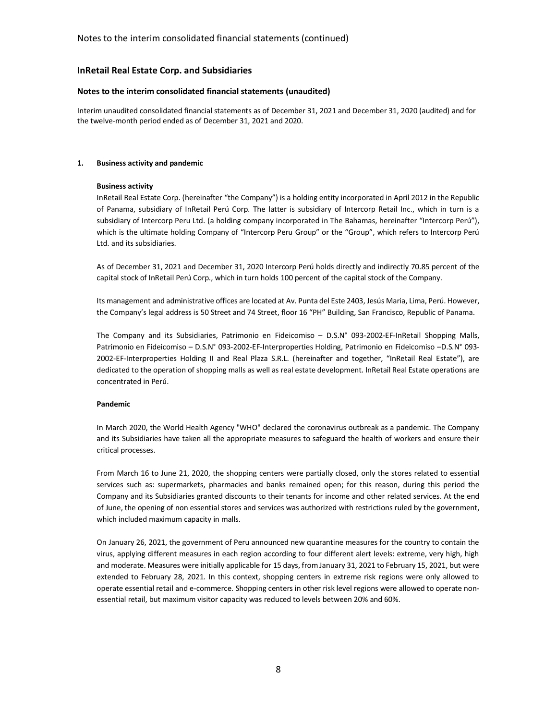### **Notes to the interim consolidated financial statements (unaudited)**

Interim unaudited consolidated financial statements as of December 31, 2021 and December 31, 2020 (audited) and for the twelve-month period ended as of December 31, 2021 and 2020.

### **1. Business activity and pandemic**

#### **Business activity**

InRetail Real Estate Corp. (hereinafter "the Company") is a holding entity incorporated in April 2012 in the Republic of Panama, subsidiary of InRetail Perú Corp. The latter is subsidiary of Intercorp Retail Inc., which in turn is a subsidiary of Intercorp Peru Ltd. (a holding company incorporated in The Bahamas, hereinafter "Intercorp Perú"), which is the ultimate holding Company of "Intercorp Peru Group" or the "Group", which refers to Intercorp Perú Ltd. and its subsidiaries.

As of December 31, 2021 and December 31, 2020 Intercorp Perú holds directly and indirectly 70.85 percent of the capital stock of InRetail Perú Corp., which in turn holds 100 percent of the capital stock of the Company.

Its management and administrative offices are located at Av. Punta del Este 2403, Jesús Maria, Lima, Perú. However, the Company's legal address is 50 Street and 74 Street, floor 16 "PH" Building, San Francisco, Republic of Panama.

The Company and its Subsidiaries, Patrimonio en Fideicomiso – D.S.N° 093-2002-EF-InRetail Shopping Malls, Patrimonio en Fideicomiso – D.S.N° 093-2002-EF-Interproperties Holding, Patrimonio en Fideicomiso –D.S.N° 093- 2002-EF-Interproperties Holding II and Real Plaza S.R.L. (hereinafter and together, "InRetail Real Estate"), are dedicated to the operation of shopping malls as well as real estate development. InRetail Real Estate operations are concentrated in Perú.

#### **Pandemic**

In March 2020, the World Health Agency "WHO" declared the coronavirus outbreak as a pandemic. The Company and its Subsidiaries have taken all the appropriate measures to safeguard the health of workers and ensure their critical processes.

From March 16 to June 21, 2020, the shopping centers were partially closed, only the stores related to essential services such as: supermarkets, pharmacies and banks remained open; for this reason, during this period the Company and its Subsidiaries granted discounts to their tenants for income and other related services. At the end of June, the opening of non essential stores and services was authorized with restrictions ruled by the government, which included maximum capacity in malls.

On January 26, 2021, the government of Peru announced new quarantine measures for the country to contain the virus, applying different measures in each region according to four different alert levels: extreme, very high, high and moderate. Measures were initially applicable for 15 days, from January 31, 2021 to February 15, 2021, but were extended to February 28, 2021. In this context, shopping centers in extreme risk regions were only allowed to operate essential retail and e-commerce. Shopping centers in other risk level regions were allowed to operate nonessential retail, but maximum visitor capacity was reduced to levels between 20% and 60%.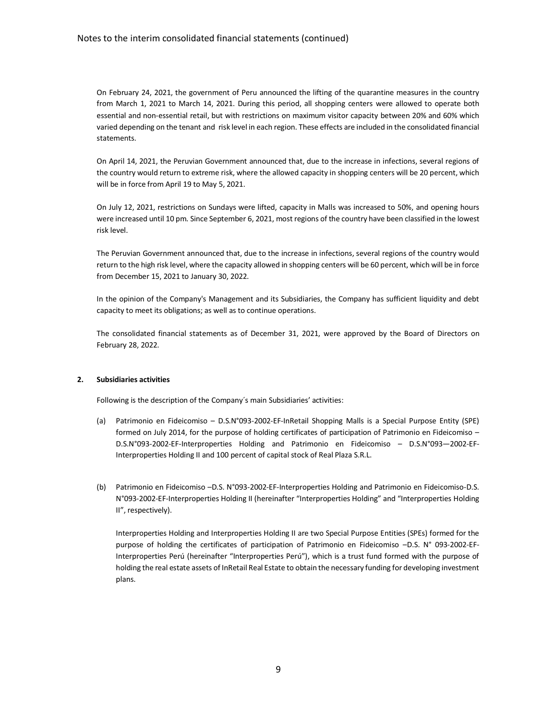### Notes to the interim consolidated financial statements (continued)

On February 24, 2021, the government of Peru announced the lifting of the quarantine measures in the country from March 1, 2021 to March 14, 2021. During this period, all shopping centers were allowed to operate both essential and non-essential retail, but with restrictions on maximum visitor capacity between 20% and 60% which varied depending on the tenant and risk level in each region. These effects are included in the consolidated financial statements.

On April 14, 2021, the Peruvian Government announced that, due to the increase in infections, several regions of the country would return to extreme risk, where the allowed capacity in shopping centers will be 20 percent, which will be in force from April 19 to May 5, 2021.

On July 12, 2021, restrictions on Sundays were lifted, capacity in Malls was increased to 50%, and opening hours were increased until 10 pm. Since September 6, 2021, most regions of the country have been classified in the lowest risk level.

The Peruvian Government announced that, due to the increase in infections, several regions of the country would return to the high risk level, where the capacity allowed in shopping centers will be 60 percent, which will be in force from December 15, 2021 to January 30, 2022.

In the opinion of the Company's Management and its Subsidiaries, the Company has sufficient liquidity and debt capacity to meet its obligations; as well as to continue operations.

The consolidated financial statements as of December 31, 2021, were approved by the Board of Directors on February 28, 2022.

#### **2. Subsidiaries activities**

Following is the description of the Company´s main Subsidiaries' activities:

- (a) Patrimonio en Fideicomiso D.S.N°093-2002-EF-InRetail Shopping Malls is a Special Purpose Entity (SPE) formed on July 2014, for the purpose of holding certificates of participation of Patrimonio en Fideicomiso – D.S.N°093-2002-EF-Interproperties Holding and Patrimonio en Fideicomiso – D.S.N°093—2002-EF-Interproperties Holding II and 100 percent of capital stock of Real Plaza S.R.L.
- (b) Patrimonio en Fideicomiso –D.S. N°093-2002-EF-Interproperties Holding and Patrimonio en Fideicomiso-D.S. N°093-2002-EF-Interproperties Holding II (hereinafter "Interproperties Holding" and "Interproperties Holding II", respectively).

Interproperties Holding and Interproperties Holding II are two Special Purpose Entities (SPEs) formed for the purpose of holding the certificates of participation of Patrimonio en Fideicomiso –D.S. N° 093-2002-EF-Interproperties Perú (hereinafter "Interproperties Perú"), which is a trust fund formed with the purpose of holding the real estate assets of InRetail Real Estate to obtain the necessary funding for developing investment plans.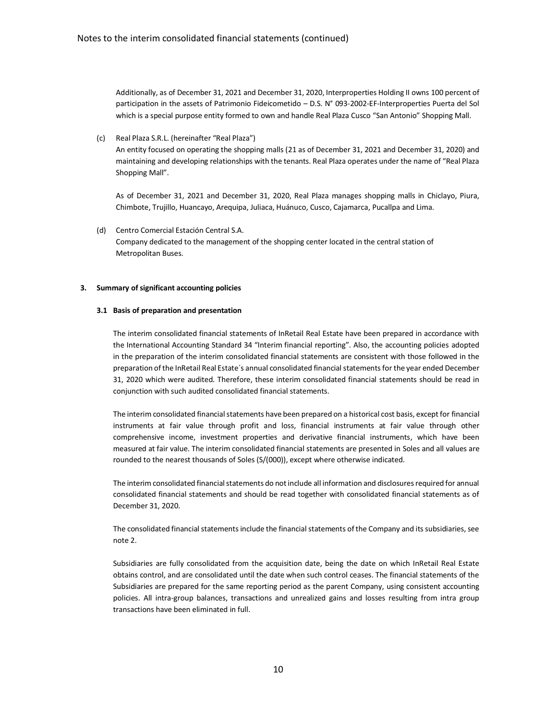Additionally, as of December 31, 2021 and December 31, 2020, Interproperties Holding II owns 100 percent of participation in the assets of Patrimonio Fideicometido – D.S. N° 093-2002-EF-Interproperties Puerta del Sol which is a special purpose entity formed to own and handle Real Plaza Cusco "San Antonio" Shopping Mall.

(c) Real Plaza S.R.L. (hereinafter "Real Plaza")

An entity focused on operating the shopping malls (21 as of December 31, 2021 and December 31, 2020) and maintaining and developing relationships with the tenants. Real Plaza operates under the name of "Real Plaza Shopping Mall".

As of December 31, 2021 and December 31, 2020, Real Plaza manages shopping malls in Chiclayo, Piura, Chimbote, Trujillo, Huancayo, Arequipa, Juliaca, Huánuco, Cusco, Cajamarca, Pucallpa and Lima.

(d) Centro Comercial Estación Central S.A. Company dedicated to the management of the shopping center located in the central station of Metropolitan Buses.

#### **3. Summary of significant accounting policies**

#### **3.1 Basis of preparation and presentation**

The interim consolidated financial statements of InRetail Real Estate have been prepared in accordance with the International Accounting Standard 34 "Interim financial reporting". Also, the accounting policies adopted in the preparation of the interim consolidated financial statements are consistent with those followed in the preparation of the InRetail Real Estate´s annual consolidated financial statements for the year ended December 31, 2020 which were audited. Therefore, these interim consolidated financial statements should be read in conjunction with such audited consolidated financial statements.

The interim consolidated financial statements have been prepared on a historical cost basis, except for financial instruments at fair value through profit and loss, financial instruments at fair value through other comprehensive income, investment properties and derivative financial instruments, which have been measured at fair value. The interim consolidated financial statements are presented in Soles and all values are rounded to the nearest thousands of Soles (S/(000)), except where otherwise indicated.

The interim consolidated financial statements do not include all information and disclosures required for annual consolidated financial statements and should be read together with consolidated financial statements as of December 31, 2020.

The consolidated financial statements include the financial statements of the Company and its subsidiaries, see note 2.

Subsidiaries are fully consolidated from the acquisition date, being the date on which InRetail Real Estate obtains control, and are consolidated until the date when such control ceases. The financial statements of the Subsidiaries are prepared for the same reporting period as the parent Company, using consistent accounting policies. All intra-group balances, transactions and unrealized gains and losses resulting from intra group transactions have been eliminated in full.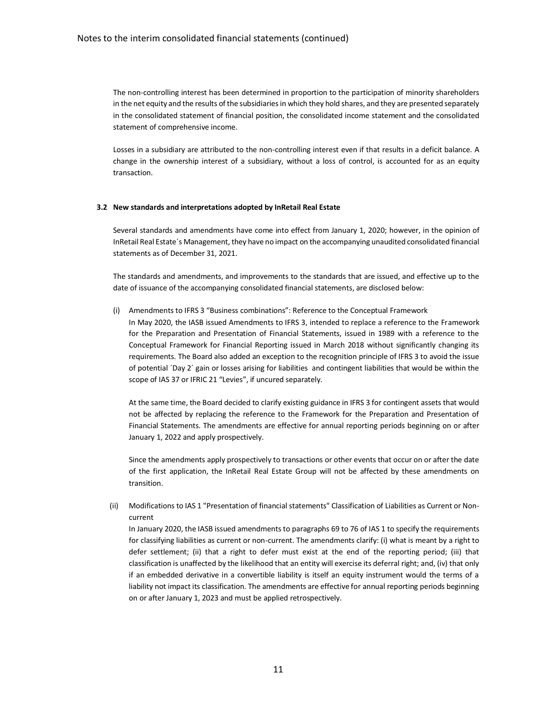The non-controlling interest has been determined in proportion to the participation of minority shareholders in the net equity and the results of the subsidiaries in which they hold shares, and they are presented separately in the consolidated statement of financial position, the consolidated income statement and the consolidated statement of comprehensive income.

Losses in a subsidiary are attributed to the non-controlling interest even if that results in a deficit balance. A change in the ownership interest of a subsidiary, without a loss of control, is accounted for as an equity transaction.

#### **3.2 New standards and interpretations adopted by InRetail Real Estate**

Several standards and amendments have come into effect from January 1, 2020; however, in the opinion of InRetail Real Estate´s Management, they have no impact on the accompanying unaudited consolidated financial statements as of December 31, 2021.

The standards and amendments, and improvements to the standards that are issued, and effective up to the date of issuance of the accompanying consolidated financial statements, are disclosed below:

(i) Amendments to IFRS 3 "Business combinations": Reference to the Conceptual Framework In May 2020, the IASB issued Amendments to IFRS 3, intended to replace a reference to the Framework for the Preparation and Presentation of Financial Statements, issued in 1989 with a reference to the Conceptual Framework for Financial Reporting issued in March 2018 without significantly changing its requirements. The Board also added an exception to the recognition principle of IFRS 3 to avoid the issue of potential ´Day 2´ gain or losses arising for liabilities and contingent liabilities that would be within the scope of IAS 37 or IFRIC 21 "Levies", if uncured separately.

At the same time, the Board decided to clarify existing guidance in IFRS 3 for contingent assets that would not be affected by replacing the reference to the Framework for the Preparation and Presentation of Financial Statements. The amendments are effective for annual reporting periods beginning on or after January 1, 2022 and apply prospectively.

Since the amendments apply prospectively to transactions or other events that occur on or after the date of the first application, the InRetail Real Estate Group will not be affected by these amendments on transition.

(ii) Modifications to IAS 1 "Presentation of financial statements" Classification of Liabilities as Current or Noncurrent

In January 2020, the IASB issued amendments to paragraphs 69 to 76 of IAS 1 to specify the requirements for classifying liabilities as current or non-current. The amendments clarify: (i) what is meant by a right to defer settlement; (ii) that a right to defer must exist at the end of the reporting period; (iii) that classification is unaffected by the likelihood that an entity will exercise its deferral right; and, (iv) that only if an embedded derivative in a convertible liability is itself an equity instrument would the terms of a liability not impact its classification. The amendments are effective for annual reporting periods beginning on or after January 1, 2023 and must be applied retrospectively.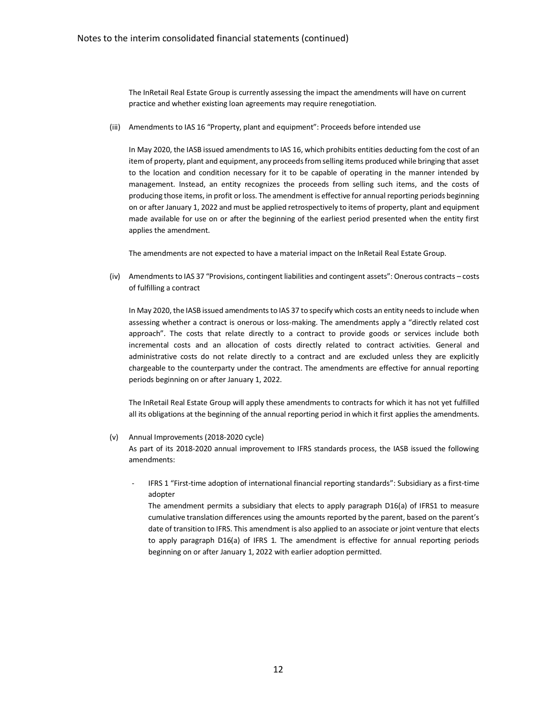The InRetail Real Estate Group is currently assessing the impact the amendments will have on current practice and whether existing loan agreements may require renegotiation.

(iii) Amendments to IAS 16 "Property, plant and equipment": Proceeds before intended use

In May 2020, the IASB issued amendments to IAS 16, which prohibits entities deducting fom the cost of an item of property, plant and equipment, any proceeds from selling items produced while bringing that asset to the location and condition necessary for it to be capable of operating in the manner intended by management. Instead, an entity recognizes the proceeds from selling such items, and the costs of producing those items, in profit or loss. The amendment is effective for annual reporting periods beginning on or after January 1, 2022 and must be applied retrospectively to items of property, plant and equipment made available for use on or after the beginning of the earliest period presented when the entity first applies the amendment.

The amendments are not expected to have a material impact on the InRetail Real Estate Group.

(iv) Amendments to IAS 37 "Provisions, contingent liabilities and contingent assets": Onerous contracts – costs of fulfilling a contract

In May 2020, the IASB issued amendments to IAS 37 to specify which costs an entity needs to include when assessing whether a contract is onerous or loss-making. The amendments apply a "directly related cost approach". The costs that relate directly to a contract to provide goods or services include both incremental costs and an allocation of costs directly related to contract activities. General and administrative costs do not relate directly to a contract and are excluded unless they are explicitly chargeable to the counterparty under the contract. The amendments are effective for annual reporting periods beginning on or after January 1, 2022.

The InRetail Real Estate Group will apply these amendments to contracts for which it has not yet fulfilled all its obligations at the beginning of the annual reporting period in which it first applies the amendments.

(v) Annual Improvements (2018-2020 cycle)

As part of its 2018-2020 annual improvement to IFRS standards process, the IASB issued the following amendments:

IFRS 1 "First-time adoption of international financial reporting standards": Subsidiary as a first-time adopter

The amendment permits a subsidiary that elects to apply paragraph D16(a) of IFRS1 to measure cumulative translation differences using the amounts reported by the parent, based on the parent's date of transition to IFRS. This amendment is also applied to an associate or joint venture that elects to apply paragraph D16(a) of IFRS 1. The amendment is effective for annual reporting periods beginning on or after January 1, 2022 with earlier adoption permitted.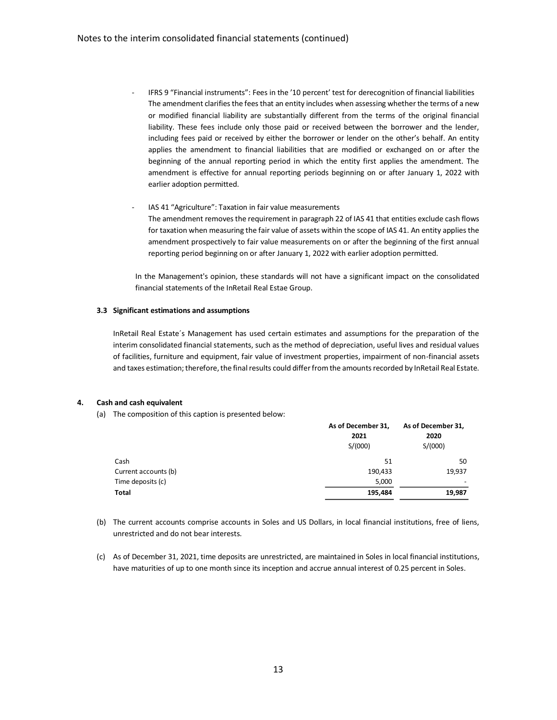- IFRS 9 "Financial instruments": Fees in the '10 percent' test for derecognition of financial liabilities The amendment clarifies the fees that an entity includes when assessing whether the terms of a new or modified financial liability are substantially different from the terms of the original financial liability. These fees include only those paid or received between the borrower and the lender, including fees paid or received by either the borrower or lender on the other's behalf. An entity applies the amendment to financial liabilities that are modified or exchanged on or after the beginning of the annual reporting period in which the entity first applies the amendment. The amendment is effective for annual reporting periods beginning on or after January 1, 2022 with earlier adoption permitted.
- IAS 41 "Agriculture": Taxation in fair value measurements The amendment removes the requirement in paragraph 22 of IAS 41 that entities exclude cash flows for taxation when measuring the fair value of assets within the scope of IAS 41. An entity applies the amendment prospectively to fair value measurements on or after the beginning of the first annual reporting period beginning on or after January 1, 2022 with earlier adoption permitted.

In the Management's opinion, these standards will not have a significant impact on the consolidated financial statements of the InRetail Real Estae Group.

### **3.3 Significant estimations and assumptions**

InRetail Real Estate´s Management has used certain estimates and assumptions for the preparation of the interim consolidated financial statements, such as the method of depreciation, useful lives and residual values of facilities, furniture and equipment, fair value of investment properties, impairment of non-financial assets and taxes estimation; therefore, the final results could differ from the amounts recorded by InRetail Real Estate.

## **4. Cash and cash equivalent**

(a) The composition of this caption is presented below:

|                      | As of December 31,<br>2021<br>S/(000) | As of December 31,<br>2020<br>S/(000) |
|----------------------|---------------------------------------|---------------------------------------|
| Cash                 | 51                                    | 50                                    |
| Current accounts (b) | 190,433                               | 19,937                                |
| Time deposits (c)    | 5,000                                 | $\overline{\phantom{a}}$              |
| Total                | 195,484                               | 19,987                                |

- (b) The current accounts comprise accounts in Soles and US Dollars, in local financial institutions, free of liens, unrestricted and do not bear interests.
- (c) As of December 31, 2021, time deposits are unrestricted, are maintained in Soles in local financial institutions, have maturities of up to one month since its inception and accrue annual interest of 0.25 percent in Soles.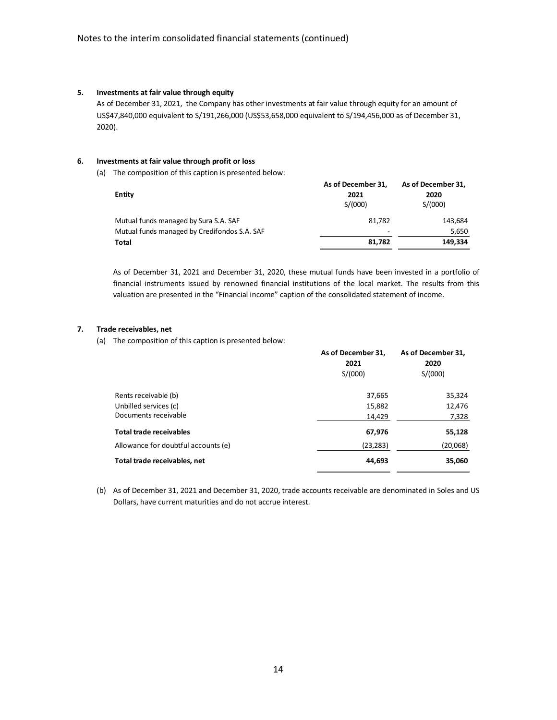#### **5. Investments at fair value through equity**

As of December 31, 2021, the Company has other investments at fair value through equity for an amount of US\$47,840,000 equivalent to S/191,266,000 (US\$53,658,000 equivalent to S/194,456,000 as of December 31, 2020).

#### **6. Investments at fair value through profit or loss**

(a) The composition of this caption is presented below:

| Entity                                       | As of December 31,<br>2021<br>S/(000) | As of December 31,<br>2020<br>S/(000) |
|----------------------------------------------|---------------------------------------|---------------------------------------|
| Mutual funds managed by Sura S.A. SAF        | 81.782                                | 143,684                               |
| Mutual funds managed by Credifondos S.A. SAF | ٠                                     | 5,650                                 |
| Total                                        | 81.782                                | 149,334                               |

As of December 31, 2021 and December 31, 2020, these mutual funds have been invested in a portfolio of financial instruments issued by renowned financial institutions of the local market. The results from this valuation are presented in the "Financial income" caption of the consolidated statement of income.

### **7. Trade receivables, net**

(a) The composition of this caption is presented below:

|                                     | As of December 31, | As of December 31, |
|-------------------------------------|--------------------|--------------------|
|                                     | 2021               | 2020               |
|                                     | S/(000)            | S/(000)            |
| Rents receivable (b)                | 37,665             | 35,324             |
| Unbilled services (c)               | 15,882             | 12,476             |
| Documents receivable                | 14,429             | 7,328              |
| <b>Total trade receivables</b>      | 67,976             | 55,128             |
| Allowance for doubtful accounts (e) | (23, 283)          | (20,068)           |
| Total trade receivables, net        | 44,693             | 35,060             |

(b) As of December 31, 2021 and December 31, 2020, trade accounts receivable are denominated in Soles and US Dollars, have current maturities and do not accrue interest.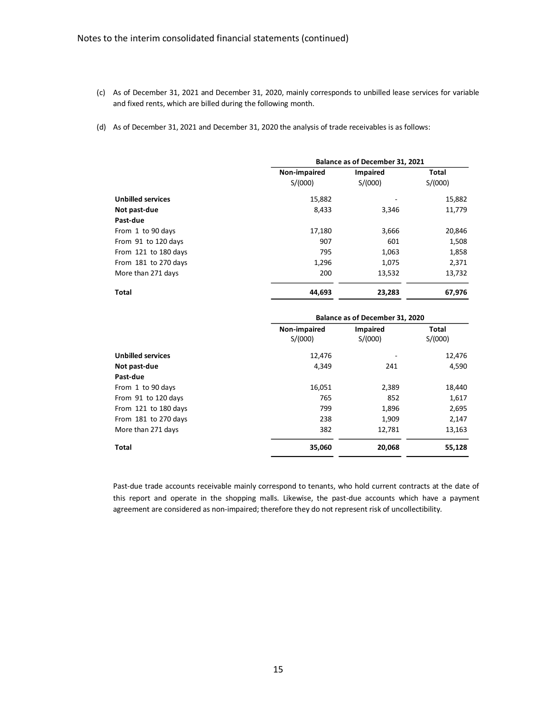- (c) As of December 31, 2021 and December 31, 2020, mainly corresponds to unbilled lease services for variable and fixed rents, which are billed during the following month.
- (d) As of December 31, 2021 and December 31, 2020 the analysis of trade receivables is as follows:

|                          | Balance as of December 31, 2021 |          |         |
|--------------------------|---------------------------------|----------|---------|
|                          | Non-impaired                    | Impaired | Total   |
|                          | S/(000)                         | S/(000)  | S/(000) |
| <b>Unbilled services</b> | 15,882                          |          | 15,882  |
| Not past-due             | 8,433                           | 3,346    | 11,779  |
| Past-due                 |                                 |          |         |
| From 1 to 90 days        | 17,180                          | 3,666    | 20,846  |
| From 91 to 120 days      | 907                             | 601      | 1,508   |
| From 121 to 180 days     | 795                             | 1,063    | 1,858   |
| From 181 to 270 days     | 1,296                           | 1,075    | 2,371   |
| More than 271 days       | 200                             | 13,532   | 13,732  |
| <b>Total</b>             | 44,693                          | 23,283   | 67,976  |

|                          | Balance as of December 31, 2020 |                     |                  |
|--------------------------|---------------------------------|---------------------|------------------|
|                          | Non-impaired<br>S/(000)         | Impaired<br>S/(000) | Total<br>S/(000) |
| <b>Unbilled services</b> | 12,476                          |                     | 12,476           |
| Not past-due             | 4.349                           | 241                 | 4,590            |
| Past-due                 |                                 |                     |                  |
| From 1 to 90 days        | 16,051                          | 2,389               | 18,440           |
| From 91 to 120 days      | 765                             | 852                 | 1,617            |
| From 121 to 180 days     | 799                             | 1,896               | 2,695            |
| From 181 to 270 days     | 238                             | 1,909               | 2,147            |
| More than 271 days       | 382                             | 12,781              | 13,163           |
| <b>Total</b>             | 35,060                          | 20,068              | 55,128           |

Past-due trade accounts receivable mainly correspond to tenants, who hold current contracts at the date of this report and operate in the shopping malls. Likewise, the past-due accounts which have a payment agreement are considered as non-impaired; therefore they do not represent risk of uncollectibility.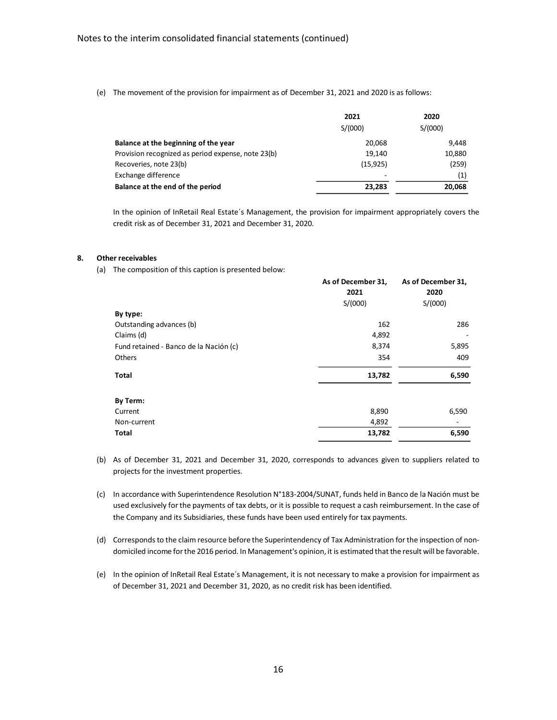(e) The movement of the provision for impairment as of December 31, 2021 and 2020 is as follows:

|                                                    | 2021      | 2020    |
|----------------------------------------------------|-----------|---------|
|                                                    | S/(000)   | S/(000) |
| Balance at the beginning of the year               | 20.068    | 9.448   |
| Provision recognized as period expense, note 23(b) | 19.140    | 10,880  |
| Recoveries, note 23(b)                             | (15, 925) | (259)   |
| Exchange difference                                |           | (1)     |
| Balance at the end of the period                   | 23.283    | 20,068  |

In the opinion of InRetail Real Estate's Management, the provision for impairment appropriately covers the credit risk as of December 31, 2021 and December 31, 2020.

#### **8. Other receivables**

(a) The composition of this caption is presented below:

|                                        | As of December 31,<br>2021 | As of December 31,<br>2020 |
|----------------------------------------|----------------------------|----------------------------|
|                                        | S/(000)                    | S/(000)                    |
| By type:                               |                            |                            |
| Outstanding advances (b)               | 162                        | 286                        |
| Claims (d)                             | 4,892                      |                            |
| Fund retained - Banco de la Nación (c) | 8,374                      | 5,895                      |
| Others                                 | 354                        | 409                        |
| Total                                  | 13,782                     | 6,590                      |
| By Term:                               |                            |                            |
| Current                                | 8,890                      | 6,590                      |
| Non-current                            | 4,892                      |                            |
| Total                                  | 13,782                     | 6,590                      |

- (b) As of December 31, 2021 and December 31, 2020, corresponds to advances given to suppliers related to projects for the investment properties.
- (c) In accordance with Superintendence Resolution N°183-2004/SUNAT, funds held in Banco de la Nación must be used exclusively for the payments of tax debts, or it is possible to request a cash reimbursement. In the case of the Company and its Subsidiaries, these funds have been used entirely for tax payments.
- (d) Corresponds to the claim resource before the Superintendency of Tax Administration for the inspection of nondomiciled income for the 2016 period. In Management's opinion, it is estimated that the result will be favorable.
- (e) In the opinion of InRetail Real Estate´s Management, it is not necessary to make a provision for impairment as of December 31, 2021 and December 31, 2020, as no credit risk has been identified.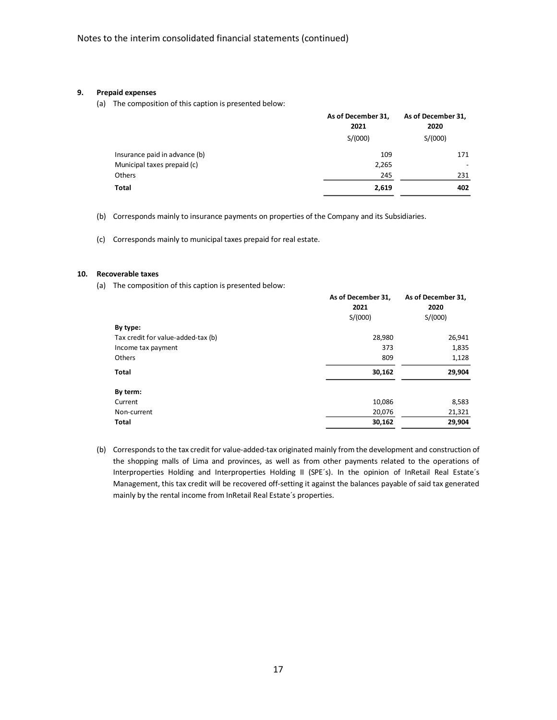#### **9. Prepaid expenses**

(a) The composition of this caption is presented below:

|                               | As of December 31,<br>2021 | As of December 31,<br>2020 |  |
|-------------------------------|----------------------------|----------------------------|--|
|                               | S/(000)                    | S/(000)                    |  |
| Insurance paid in advance (b) | 109                        | 171                        |  |
| Municipal taxes prepaid (c)   | 2,265                      |                            |  |
| Others                        | 245                        | 231                        |  |
| Total                         | 2,619                      | 402                        |  |

(b) Corresponds mainly to insurance payments on properties of the Company and its Subsidiaries.

(c) Corresponds mainly to municipal taxes prepaid for real estate.

#### **10. Recoverable taxes**

(a) The composition of this caption is presented below:

|                                    | As of December 31, | As of December 31, |
|------------------------------------|--------------------|--------------------|
|                                    | 2021               | 2020               |
|                                    | S/(000)            | S/(000)            |
| By type:                           |                    |                    |
| Tax credit for value-added-tax (b) | 28,980             | 26,941             |
| Income tax payment                 | 373                | 1,835              |
| Others                             | 809                | 1,128              |
| <b>Total</b>                       | 30,162             | 29,904             |
| By term:                           |                    |                    |
| Current                            | 10,086             | 8,583              |
| Non-current                        | 20,076             | 21,321             |
| Total                              | 30,162             | 29,904             |

(b) Corresponds to the tax credit for value-added-tax originated mainly from the development and construction of the shopping malls of Lima and provinces, as well as from other payments related to the operations of Interproperties Holding and Interproperties Holding II (SPE´s). In the opinion of InRetail Real Estate´s Management, this tax credit will be recovered off-setting it against the balances payable of said tax generated mainly by the rental income from InRetail Real Estate´s properties.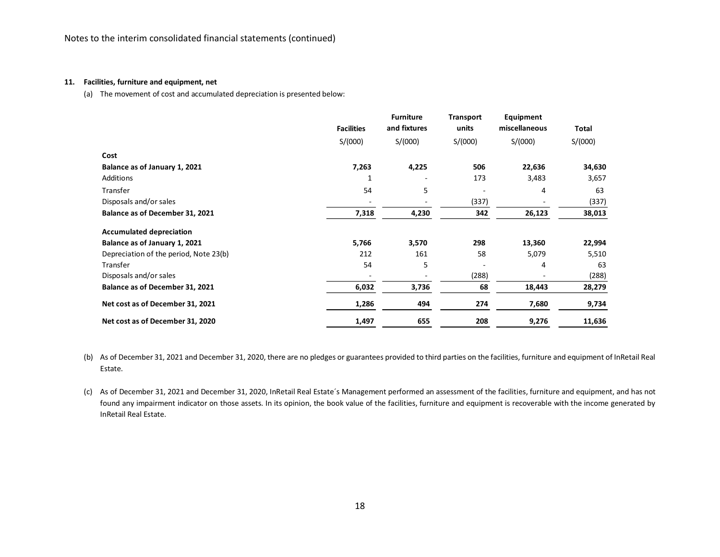#### **11. Facilities, furniture and equipment, net**

(a) The movement of cost and accumulated depreciation is presented below:

|                                        | <b>Facilities</b> | <b>Furniture</b><br>and fixtures | Transport<br>units       | Equipment<br>miscellaneous | Total   |
|----------------------------------------|-------------------|----------------------------------|--------------------------|----------------------------|---------|
|                                        | S/(000)           | S/(000)                          | S/(000)                  | S/(000)                    | S/(000) |
| Cost                                   |                   |                                  |                          |                            |         |
| Balance as of January 1, 2021          | 7,263             | 4,225                            | 506                      | 22,636                     | 34,630  |
| <b>Additions</b>                       | 1                 |                                  | 173                      | 3,483                      | 3,657   |
| Transfer                               | 54                | 5                                | $\overline{\phantom{a}}$ | 4                          | 63      |
| Disposals and/or sales                 |                   |                                  | (337)                    |                            | (337)   |
| Balance as of December 31, 2021        | 7,318             | 4,230                            | 342                      | 26,123                     | 38,013  |
| <b>Accumulated depreciation</b>        |                   |                                  |                          |                            |         |
| Balance as of January 1, 2021          | 5,766             | 3,570                            | 298                      | 13,360                     | 22,994  |
| Depreciation of the period, Note 23(b) | 212               | 161                              | 58                       | 5,079                      | 5,510   |
| Transfer                               | 54                | 5                                |                          | 4                          | 63      |
| Disposals and/or sales                 |                   |                                  | (288)                    |                            | (288)   |
| Balance as of December 31, 2021        | 6,032             | 3,736                            | 68                       | 18,443                     | 28,279  |
| Net cost as of December 31, 2021       | 1,286             | 494                              | 274                      | 7,680                      | 9,734   |
| Net cost as of December 31, 2020       | 1,497             | 655                              | 208                      | 9,276                      | 11,636  |

- (b) As of December 31, 2021 and December 31, 2020, there are no pledges or guarantees provided to third parties on the facilities, furniture and equipment of InRetail Real Estate.
- (c) As of December 31, 2021 and December 31, 2020, InRetail Real Estate´s Management performed an assessment of the facilities, furniture and equipment, and has not found any impairment indicator on those assets. In its opinion, the book value of the facilities, furniture and equipment is recoverable with the income generated by InRetail Real Estate.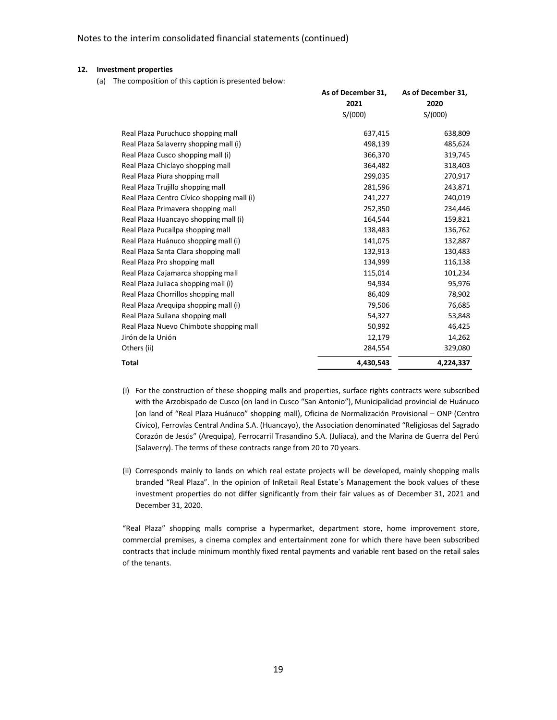#### **12. Investment properties**

(a) The composition of this caption is presented below:

|                                            | As of December 31, | As of December 31, |
|--------------------------------------------|--------------------|--------------------|
|                                            | 2021               | 2020               |
|                                            | S/(000)            | S/(000)            |
| Real Plaza Puruchuco shopping mall         | 637,415            | 638,809            |
| Real Plaza Salaverry shopping mall (i)     | 498,139            | 485,624            |
| Real Plaza Cusco shopping mall (i)         | 366,370            | 319,745            |
| Real Plaza Chiclayo shopping mall          | 364,482            | 318,403            |
| Real Plaza Piura shopping mall             | 299,035            | 270,917            |
| Real Plaza Trujillo shopping mall          | 281,596            | 243,871            |
| Real Plaza Centro Cívico shopping mall (i) | 241,227            | 240,019            |
| Real Plaza Primavera shopping mall         | 252,350            | 234,446            |
| Real Plaza Huancayo shopping mall (i)      | 164,544            | 159,821            |
| Real Plaza Pucallpa shopping mall          | 138,483            | 136,762            |
| Real Plaza Huánuco shopping mall (i)       | 141,075            | 132,887            |
| Real Plaza Santa Clara shopping mall       | 132,913            | 130,483            |
| Real Plaza Pro shopping mall               | 134,999            | 116,138            |
| Real Plaza Cajamarca shopping mall         | 115,014            | 101,234            |
| Real Plaza Juliaca shopping mall (i)       | 94,934             | 95,976             |
| Real Plaza Chorrillos shopping mall        | 86,409             | 78,902             |
| Real Plaza Arequipa shopping mall (i)      | 79,506             | 76,685             |
| Real Plaza Sullana shopping mall           | 54,327             | 53,848             |
| Real Plaza Nuevo Chimbote shopping mall    | 50,992             | 46,425             |
| Jirón de la Unión                          | 12,179             | 14,262             |
| Others (ii)                                | 284,554            | 329,080            |
| <b>Total</b>                               | 4,430,543          | 4,224,337          |

- (i) For the construction of these shopping malls and properties, surface rights contracts were subscribed with the Arzobispado de Cusco (on land in Cusco "San Antonio"), Municipalidad provincial de Huánuco (on land of "Real Plaza Huánuco" shopping mall), Oficina de Normalización Provisional – ONP (Centro Cívico), Ferrovías Central Andina S.A. (Huancayo), the Association denominated "Religiosas del Sagrado Corazón de Jesús" (Arequipa), Ferrocarril Trasandino S.A. (Juliaca), and the Marina de Guerra del Perú (Salaverry). The terms of these contracts range from 20 to 70 years.
- (ii) Corresponds mainly to lands on which real estate projects will be developed, mainly shopping malls branded "Real Plaza". In the opinion of InRetail Real Estate´s Management the book values of these investment properties do not differ significantly from their fair values as of December 31, 2021 and December 31, 2020.

"Real Plaza" shopping malls comprise a hypermarket, department store, home improvement store, commercial premises, a cinema complex and entertainment zone for which there have been subscribed contracts that include minimum monthly fixed rental payments and variable rent based on the retail sales of the tenants.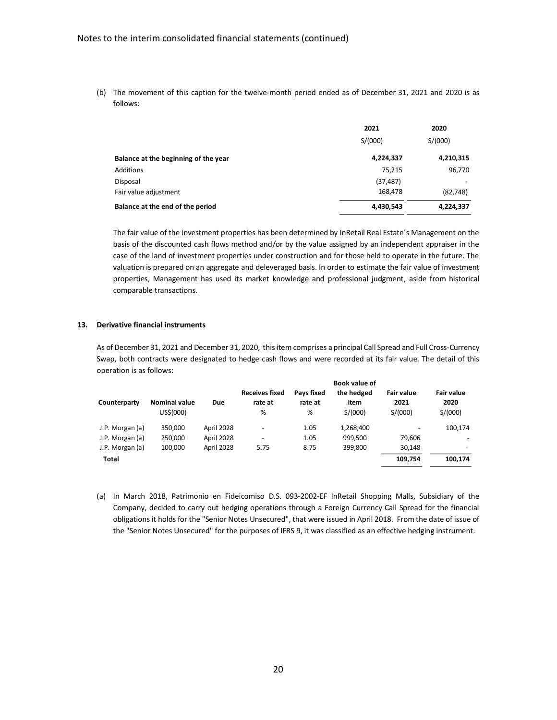(b) The movement of this caption for the twelve-month period ended as of December 31, 2021 and 2020 is as follows:

|                                      | 2021      | 2020      |  |
|--------------------------------------|-----------|-----------|--|
|                                      | S/(000)   | S/(000)   |  |
| Balance at the beginning of the year | 4,224,337 | 4,210,315 |  |
| Additions                            | 75,215    | 96,770    |  |
| Disposal                             | (37, 487) |           |  |
| Fair value adjustment                | 168,478   | (82, 748) |  |
| Balance at the end of the period     | 4,430,543 | 4,224,337 |  |

The fair value of the investment properties has been determined by InRetail Real Estate´s Management on the basis of the discounted cash flows method and/or by the value assigned by an independent appraiser in the case of the land of investment properties under construction and for those held to operate in the future. The valuation is prepared on an aggregate and deleveraged basis. In order to estimate the fair value of investment properties, Management has used its market knowledge and professional judgment, aside from historical comparable transactions.

### **13. Derivative financial instruments**

As of December 31, 2021 and December 31, 2020, thisitem comprises a principal Call Spread and Full Cross-Currency Swap, both contracts were designated to hedge cash flows and were recorded at its fair value. The detail of this operation is as follows:

|                 |                      |            |                                  |                              | <b>Book value of</b> |                           |                           |
|-----------------|----------------------|------------|----------------------------------|------------------------------|----------------------|---------------------------|---------------------------|
| Counterparty    | <b>Nominal value</b> | Due        | <b>Receives fixed</b><br>rate at | <b>Pavs fixed</b><br>rate at | the hedged<br>item   | <b>Fair value</b><br>2021 | <b>Fair value</b><br>2020 |
|                 | US\$(000)            |            | %                                | %                            | S/(000)              | S/(000)                   | S/(000)                   |
| J.P. Morgan (a) | 350,000              | April 2028 |                                  | 1.05                         | 1,268,400            |                           | 100,174                   |
| J.P. Morgan (a) | 250,000              | April 2028 | ٠                                | 1.05                         | 999.500              | 79.606                    |                           |
| J.P. Morgan (a) | 100.000              | April 2028 | 5.75                             | 8.75                         | 399.800              | 30,148                    | $\overline{\phantom{0}}$  |
| <b>Total</b>    |                      |            |                                  |                              |                      | 109,754                   | 100,174                   |

(a) In March 2018, Patrimonio en Fideicomiso D.S. 093-2002-EF InRetail Shopping Malls, Subsidiary of the Company, decided to carry out hedging operations through a Foreign Currency Call Spread for the financial obligations it holds for the "Senior Notes Unsecured", that were issued in April 2018. From the date of issue of the "Senior Notes Unsecured" for the purposes of IFRS 9, it was classified as an effective hedging instrument.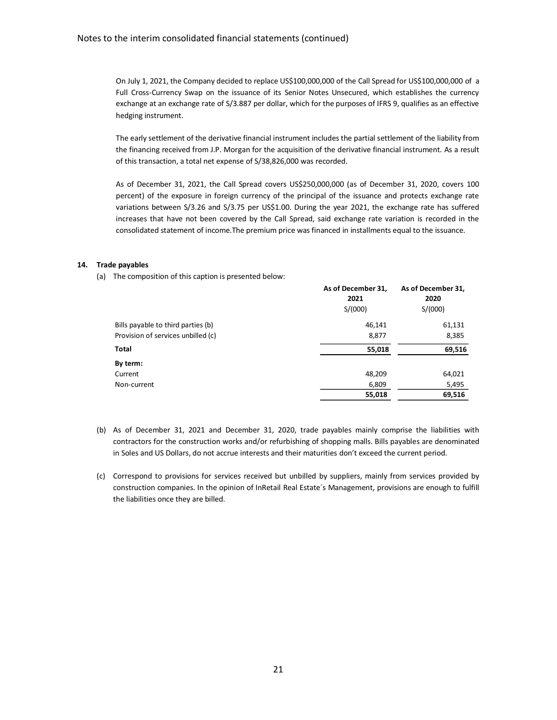On July 1, 2021, the Company decided to replace US\$100,000,000 of the Call Spread for US\$100,000,000 of a Full Cross-Currency Swap on the issuance of its Senior Notes Unsecured, which establishes the currency exchange at an exchange rate of S/3.887 per dollar, which for the purposes of IFRS 9, qualifies as an effective hedging instrument.

The early settlement of the derivative financial instrument includes the partial settlement of the liability from the financing received from J.P. Morgan for the acquisition of the derivative financial instrument. As a result of this transaction, a total net expense of S/38,826,000 was recorded.

As of December 31, 2021, the Call Spread covers US\$250,000,000 (as of December 31, 2020, covers 100 percent) of the exposure in foreign currency of the principal of the issuance and protects exchange rate variations between S/3.26 and S/3.75 per US\$1.00. During the year 2021, the exchange rate has suffered increases that have not been covered by the Call Spread, said exchange rate variation is recorded in the consolidated statement of income.The premium price was financed in installments equal to the issuance.

### **14. Trade payables**

(a) The composition of this caption is presented below:

|                                    | As of December 31,<br>2021 | As of December 31,<br>2020 |  |
|------------------------------------|----------------------------|----------------------------|--|
|                                    | S/(000)                    | S/(000)                    |  |
| Bills payable to third parties (b) | 46,141                     | 61,131                     |  |
| Provision of services unbilled (c) | 8,877                      | 8,385                      |  |
| Total                              | 55,018                     | 69,516                     |  |
| By term:                           |                            |                            |  |
| Current                            | 48,209                     | 64,021                     |  |
| Non-current                        | 6,809                      | 5,495                      |  |
|                                    | 55,018                     | 69,516                     |  |

- (b) As of December 31, 2021 and December 31, 2020, trade payables mainly comprise the liabilities with contractors for the construction works and/or refurbishing of shopping malls. Bills payables are denominated in Soles and US Dollars, do not accrue interests and their maturities don't exceed the current period.
- (c) Correspond to provisions for services received but unbilled by suppliers, mainly from services provided by construction companies. In the opinion of InRetail Real Estate´s Management, provisions are enough to fulfill the liabilities once they are billed.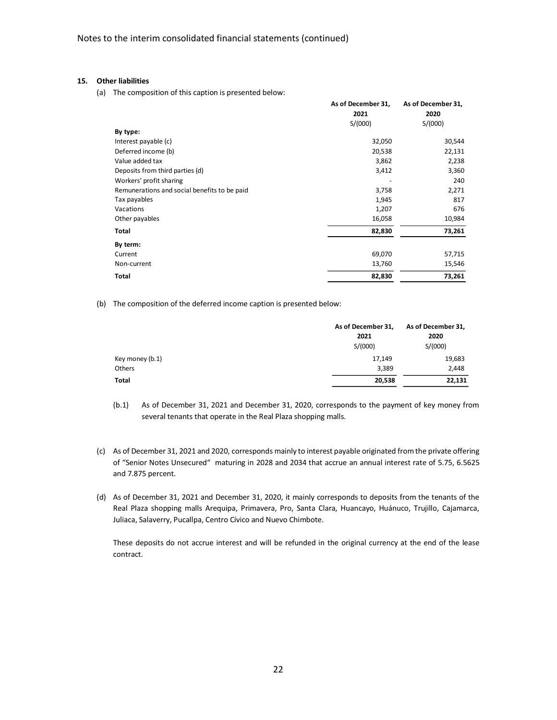#### **15. Other liabilities**

(a) The composition of this caption is presented below:

|                                              | As of December 31, | As of December 31, |
|----------------------------------------------|--------------------|--------------------|
|                                              | 2021               | 2020               |
|                                              | S/(000)            | S/(000)            |
| By type:                                     |                    |                    |
| Interest payable (c)                         | 32,050             | 30,544             |
| Deferred income (b)                          | 20,538             | 22,131             |
| Value added tax                              | 3,862              | 2,238              |
| Deposits from third parties (d)              | 3,412              | 3,360              |
| Workers' profit sharing                      |                    | 240                |
| Remunerations and social benefits to be paid | 3,758              | 2,271              |
| Tax payables                                 | 1,945              | 817                |
| Vacations                                    | 1,207              | 676                |
| Other payables                               | 16,058             | 10,984             |
| Total                                        | 82,830             | 73,261             |
| By term:                                     |                    |                    |
| Current                                      | 69,070             | 57,715             |
| Non-current                                  | 13,760             | 15,546             |
| <b>Total</b>                                 | 82,830             | 73,261             |

(b) The composition of the deferred income caption is presented below:

|                 | As of December 31, | As of December 31, |
|-----------------|--------------------|--------------------|
|                 | 2021               | 2020               |
|                 | S/(000)            | S/(000)            |
| Key money (b.1) | 17,149             | 19,683             |
| Others          | 3,389              | 2,448              |
| <b>Total</b>    | 20,538             | 22,131             |

(b.1) As of December 31, 2021 and December 31, 2020, corresponds to the payment of key money from several tenants that operate in the Real Plaza shopping malls.

- (c) As of December 31, 2021 and 2020, corresponds mainly to interest payable originated from the private offering of "Senior Notes Unsecured" maturing in 2028 and 2034 that accrue an annual interest rate of 5.75, 6.5625 and 7.875 percent.
- (d) As of December 31, 2021 and December 31, 2020, it mainly corresponds to deposits from the tenants of the Real Plaza shopping malls Arequipa, Primavera, Pro, Santa Clara, Huancayo, Huánuco, Trujillo, Cajamarca, Juliaca, Salaverry, Pucallpa, Centro Cívico and Nuevo Chimbote.

These deposits do not accrue interest and will be refunded in the original currency at the end of the lease contract.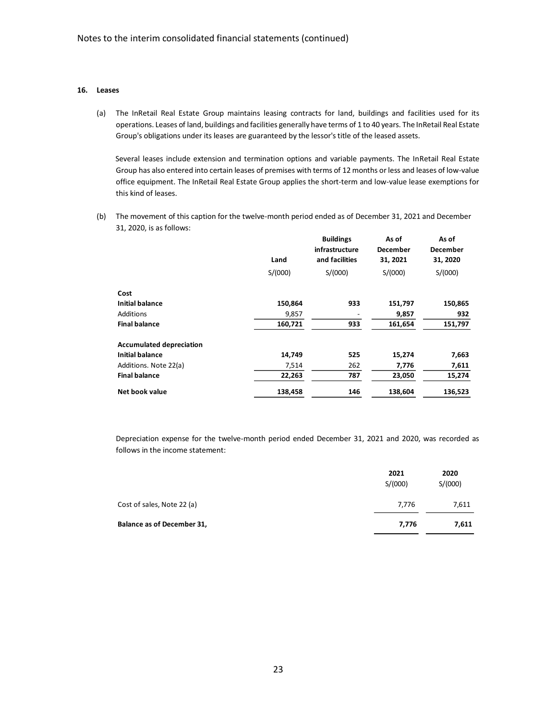### **16. Leases**

(a) The InRetail Real Estate Group maintains leasing contracts for land, buildings and facilities used for its operations. Leases of land, buildings and facilities generally have terms of 1 to 40 years. The InRetail Real Estate Group's obligations under its leases are guaranteed by the lessor's title of the leased assets.

Several leases include extension and termination options and variable payments. The InRetail Real Estate Group has also entered into certain leases of premises with terms of 12 months or less and leases of low-value office equipment. The InRetail Real Estate Group applies the short-term and low-value lease exemptions for this kind of leases.

(b) The movement of this caption for the twelve-month period ended as of December 31, 2021 and December 31, 2020, is as follows:

|                                 |         | <b>Buildings</b> | As of           | As of           |
|---------------------------------|---------|------------------|-----------------|-----------------|
|                                 |         | infrastructure   | <b>December</b> | <b>December</b> |
|                                 | Land    | and facilities   | 31, 2021        | 31, 2020        |
|                                 | S/(000) | S/(000)          | S/(000)         | S/(000)         |
| Cost                            |         |                  |                 |                 |
| <b>Initial balance</b>          | 150,864 | 933              | 151,797         | 150,865         |
| Additions                       | 9,857   |                  | 9,857           | 932             |
| <b>Final balance</b>            | 160,721 | 933              | 161,654         | 151,797         |
| <b>Accumulated depreciation</b> |         |                  |                 |                 |
| <b>Initial balance</b>          | 14,749  | 525              | 15,274          | 7,663           |
| Additions. Note 22(a)           | 7,514   | 262              | 7,776           | 7,611           |
| <b>Final balance</b>            | 22,263  | 787              | 23,050          | 15,274          |
| Net book value                  | 138,458 | 146              | 138,604         | 136,523         |

Depreciation expense for the twelve-month period ended December 31, 2021 and 2020, was recorded as follows in the income statement:

| 2021<br>S/(000) | 2020<br>S/(000) |
|-----------------|-----------------|
| 7,776           | 7,611           |
| 7,776           | 7,611           |
|                 |                 |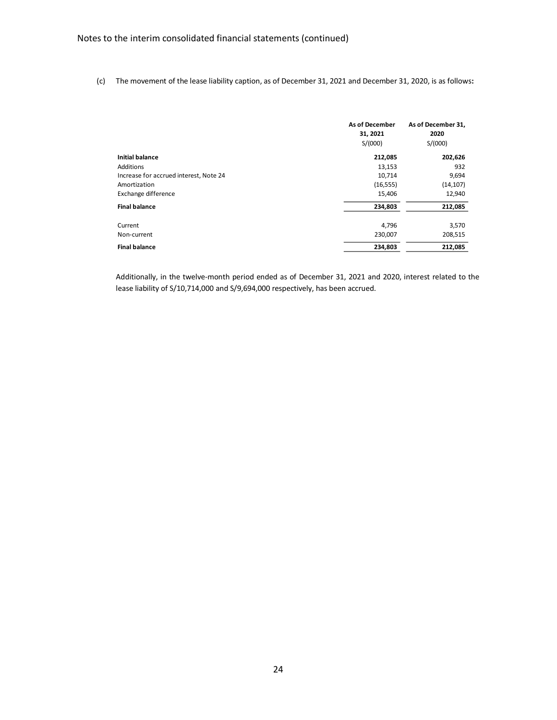(c) The movement of the lease liability caption, as of December 31, 2021 and December 31, 2020, is as follows**:**

|                                        | <b>As of December</b><br>31, 2021<br>S/(000) | As of December 31,<br>2020<br>S/(000) |
|----------------------------------------|----------------------------------------------|---------------------------------------|
| <b>Initial balance</b>                 | 212,085                                      | 202,626                               |
| Additions                              | 13,153                                       | 932                                   |
| Increase for accrued interest, Note 24 | 10,714                                       | 9,694                                 |
| Amortization                           | (16, 555)                                    | (14, 107)                             |
| Exchange difference                    | 15,406                                       | 12,940                                |
| <b>Final balance</b>                   | 234,803                                      | 212,085                               |
| Current                                | 4,796                                        | 3,570                                 |
| Non-current                            | 230,007                                      | 208,515                               |
| <b>Final balance</b>                   | 234,803                                      | 212,085                               |

Additionally, in the twelve-month period ended as of December 31, 2021 and 2020, interest related to the lease liability of S/10,714,000 and S/9,694,000 respectively, has been accrued.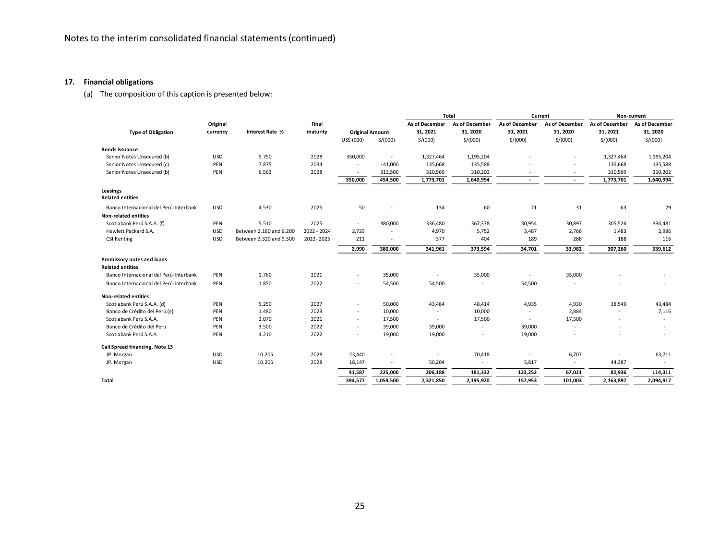# **17. Financial obligations**

(a) The composition of this caption is presented below:

|                                        |            |                         |             |                          |           |                          | Total          | Current                  |                          | Non-current    |                |
|----------------------------------------|------------|-------------------------|-------------|--------------------------|-----------|--------------------------|----------------|--------------------------|--------------------------|----------------|----------------|
|                                        | Original   |                         | Final       |                          |           | As of December           | As of December | As of December           | As of December           | As of December | As of December |
| <b>Type of Obligation</b>              | currency   | <b>Interest Rate %</b>  | maturity    | <b>Original Amount</b>   |           | 31, 2021                 | 31, 2020       | 31, 2021                 | 31, 2020                 | 31, 2021       | 31, 2020       |
|                                        |            |                         |             | US\$ (000)               | S/(000)   | S/(000)                  | S/(000)        | S/(000)                  | S/(000)                  | S/(000)        | S/(000)        |
| <b>Bonds issuance</b>                  |            |                         |             |                          |           |                          |                |                          |                          |                |                |
| Senior Notes Unsecured (b)             | USD        | 5.750                   | 2028        | 350,000                  |           | 1,327,464                | 1,195,204      |                          |                          | 1,327,464      | 1,195,204      |
| Senior Notes Unsecured (c)             | PEN        | 7.875                   | 2034        |                          | 141,000   | 135,668                  | 135,588        |                          |                          | 135,668        | 135,588        |
| Senior Notes Unsecured (b)             | PEN        | 6.563                   | 2028        |                          | 313,500   | 310,569                  | 310,202        |                          | $\sim$                   | 310,569        | 310,202        |
|                                        |            |                         |             | 350,000                  | 454,500   | 1,773,701                | 1,640,994      | $\overline{\phantom{a}}$ | $\sim$                   | 1,773,701      | 1,640,994      |
| Leasings                               |            |                         |             |                          |           |                          |                |                          |                          |                |                |
| <b>Related entities</b>                |            |                         |             |                          |           |                          |                |                          |                          |                |                |
| Banco Internacional del Perú-Interbank | USD        | 4.530                   | 2025        | 50                       |           | 134                      | 60             | 71                       | 31                       | 63             | 29             |
| <b>Non-related entities</b>            |            |                         |             |                          |           |                          |                |                          |                          |                |                |
| Scotiabank Perú S.A.A. (f)             | PEN        | 5.510                   | 2025        | $\sim$                   | 380,000   | 336,480                  | 367,378        | 30,954                   | 30,897                   | 305,526        | 336,481        |
| Hewlett Packard S.A.                   | USD        | Between 2.180 and 6.200 | 2022 - 2024 | 2,729                    |           | 4,970                    | 5,752          | 3,487                    | 2,766                    | 1,483          | 2,986          |
| <b>CSI Renting</b>                     | <b>USD</b> | Between 2.320 and 9.500 | 2022-2025   | 211                      |           | 377                      | 404            | 189                      | 288                      | 188            | 116            |
|                                        |            |                         |             | 2,990                    | 380,000   | 341,961                  | 373,594        | 34,701                   | 33,982                   | 307,260        | 339,612        |
| Promissory notes and loans             |            |                         |             |                          |           |                          |                |                          |                          |                |                |
| <b>Related entities</b>                |            |                         |             |                          |           |                          |                |                          |                          |                |                |
| Banco Internacional del Perú-Interbank | PEN        | 1.760                   | 2021        | ٠                        | 35,000    | $\overline{\phantom{a}}$ | 35,000         |                          | 35,000                   |                |                |
| Banco Internacional del Perú-Interbank | PEN        | 1.850                   | 2022        | ٠                        | 54,500    | 54,500                   | ٠              | 54,500                   |                          |                |                |
| <b>Non-related entities</b>            |            |                         |             |                          |           |                          |                |                          |                          |                |                |
| Scotiabank Perú S.A.A. (d)             | PEN        | 5.250                   | 2027        | ٠                        | 50,000    | 43,484                   | 48,414         | 4,935                    | 4,930                    | 38,549         | 43,484         |
| Banco de Crédito del Perú (e)          | PEN        | 1.480                   | 2023        | ٠                        | 10,000    |                          | 10,000         |                          | 2,884                    |                | 7,116          |
| Scotiabank Perú S.A.A.                 | PEN        | 2.070                   | 2021        | $\overline{\phantom{a}}$ | 17,500    |                          | 17,500         |                          | 17,500                   |                |                |
| Banco de Crédito del Perú              | PEN        | 3.500                   | 2022        | $\overline{\phantom{a}}$ | 39,000    | 39,000                   | ٠              | 39,000                   | $\overline{\phantom{a}}$ |                | $\sim$         |
| Scotiabank Perú S.A.A.                 | PEN        | 4.210                   | 2022        | $\overline{\phantom{a}}$ | 19,000    | 19,000                   |                | 19,000                   | $\overline{\phantom{a}}$ |                |                |
|                                        |            |                         |             |                          |           |                          |                |                          |                          |                |                |
| Call Spread financing, Note 13         |            |                         |             |                          |           |                          |                |                          |                          |                |                |
| JP. Morgan                             | <b>USD</b> | 10.205                  | 2028        | 23,440                   |           | $\overline{\phantom{a}}$ | 70,418         | $\overline{\phantom{a}}$ | 6,707                    |                | 63,711         |
| JP. Morgan                             | <b>USD</b> | 10.205                  | 2028        | 18,147                   |           | 50,204                   |                | 5,817                    | $\overline{\phantom{a}}$ | 44,387         |                |
|                                        |            |                         |             | 41,587                   | 225,000   | 206,188                  | 181,332        | 123,252                  | 67,021                   | 82,936         | 114,311        |
| Total                                  |            |                         |             | 394,577                  | 1,059,500 | 2,321,850                | 2,195,920      | 157,953                  | 101,003                  | 2,163,897      | 2,094,917      |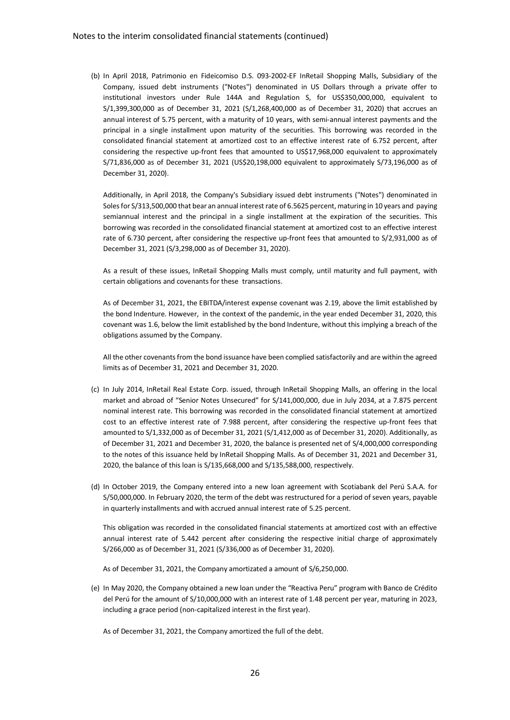(b) In April 2018, Patrimonio en Fideicomiso D.S. 093-2002-EF InRetail Shopping Malls, Subsidiary of the Company, issued debt instruments ("Notes") denominated in US Dollars through a private offer to institutional investors under Rule 144A and Regulation S, for US\$350,000,000, equivalent to S/1,399,300,000 as of December 31, 2021 (S/1,268,400,000 as of December 31, 2020) that accrues an annual interest of 5.75 percent, with a maturity of 10 years, with semi-annual interest payments and the principal in a single installment upon maturity of the securities. This borrowing was recorded in the consolidated financial statement at amortized cost to an effective interest rate of 6.752 percent, after considering the respective up-front fees that amounted to US\$17,968,000 equivalent to approximately S/71,836,000 as of December 31, 2021 (US\$20,198,000 equivalent to approximately S/73,196,000 as of December 31, 2020).

Additionally, in April 2018, the Company's Subsidiary issued debt instruments ("Notes") denominated in Soles for S/313,500,000 that bear an annual interest rate of 6.5625 percent, maturing in 10 years and paying semiannual interest and the principal in a single installment at the expiration of the securities. This borrowing was recorded in the consolidated financial statement at amortized cost to an effective interest rate of 6.730 percent, after considering the respective up-front fees that amounted to S/2,931,000 as of December 31, 2021 (S/3,298,000 as of December 31, 2020).

As a result of these issues, InRetail Shopping Malls must comply, until maturity and full payment, with certain obligations and covenants for these transactions.

As of December 31, 2021, the EBITDA/interest expense covenant was 2.19, above the limit established by the bond Indenture. However, in the context of the pandemic, in the year ended December 31, 2020, this covenant was 1.6, below the limit established by the bond Indenture, without this implying a breach of the obligations assumed by the Company.

All the other covenants from the bond issuance have been complied satisfactorily and are within the agreed limits as of December 31, 2021 and December 31, 2020.

- (c) In July 2014, InRetail Real Estate Corp. issued, through InRetail Shopping Malls, an offering in the local market and abroad of "Senior Notes Unsecured" for S/141,000,000, due in July 2034, at a 7.875 percent nominal interest rate. This borrowing was recorded in the consolidated financial statement at amortized cost to an effective interest rate of 7.988 percent, after considering the respective up-front fees that amounted to S/1,332,000 as of December 31, 2021 (S/1,412,000 as of December 31, 2020). Additionally, as of December 31, 2021 and December 31, 2020, the balance is presented net of S/4,000,000 corresponding to the notes of this issuance held by InRetail Shopping Malls. As of December 31, 2021 and December 31, 2020, the balance of this loan is S/135,668,000 and S/135,588,000, respectively.
- (d) In October 2019, the Company entered into a new loan agreement with Scotiabank del Perú S.A.A. for S/50,000,000. In February 2020, the term of the debt was restructured for a period of seven years, payable in quarterly installments and with accrued annual interest rate of 5.25 percent.

This obligation was recorded in the consolidated financial statements at amortized cost with an effective annual interest rate of 5.442 percent after considering the respective initial charge of approximately S/266,000 as of December 31, 2021 (S/336,000 as of December 31, 2020).

As of December 31, 2021, the Company amortizated a amount of S/6,250,000.

(e) In May 2020, the Company obtained a new loan under the "Reactiva Peru" program with Banco de Crédito del Perú for the amount of S/10,000,000 with an interest rate of 1.48 percent per year, maturing in 2023, including a grace period (non-capitalized interest in the first year).

As of December 31, 2021, the Company amortized the full of the debt.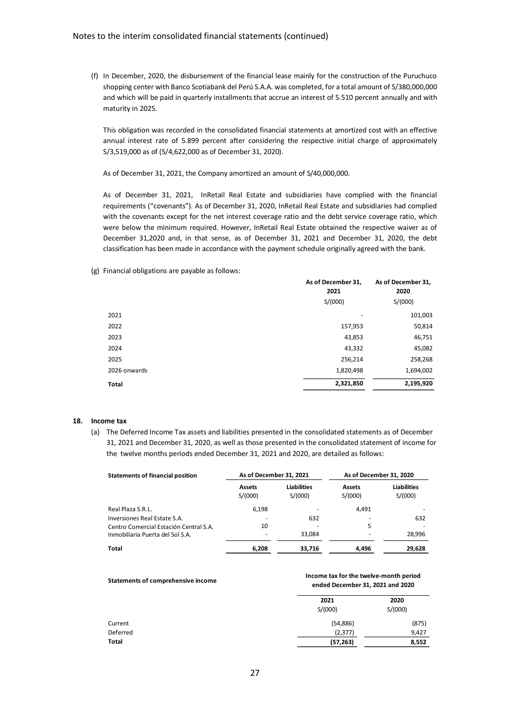(f) In December, 2020, the disbursement of the financial lease mainly for the construction of the Puruchuco shopping center with Banco Scotiabank del Perú S.A.A. was completed, for a total amount of S/380,000,000 and which will be paid in quarterly installments that accrue an interest of 5.510 percent annually and with maturity in 2025.

This obligation was recorded in the consolidated financial statements at amortized cost with an effective annual interest rate of 5.899 percent after considering the respective initial charge of approximately S/3,519,000 as of (S/4,622,000 as of December 31, 2020).

As of December 31, 2021, the Company amortized an amount of S/40,000,000.

As of December 31, 2021, InRetail Real Estate and subsidiaries have complied with the financial requirements ("covenants"). As of December 31, 2020, InRetail Real Estate and subsidiaries had complied with the covenants except for the net interest coverage ratio and the debt service coverage ratio, which were below the minimum required. However, InRetail Real Estate obtained the respective waiver as of December 31,2020 and, in that sense, as of December 31, 2021 and December 31, 2020, the debt classification has been made in accordance with the payment schedule originally agreed with the bank.

(g) Financial obligations are payable as follows:

|              | As of December 31,<br>2021 | As of December 31,<br>2020 |
|--------------|----------------------------|----------------------------|
|              | S/(000)                    | S/(000)                    |
| 2021         |                            | 101,003                    |
| 2022         | 157,953                    | 50,814                     |
| 2023         | 43,853                     | 46,751                     |
| 2024         | 43,332                     | 45,082                     |
| 2025         | 256,214                    | 258,268                    |
| 2026 onwards | 1,820,498                  | 1,694,002                  |
| Total        | 2,321,850                  | 2,195,920                  |

#### **18. Income tax**

(a) The Deferred Income Tax assets and liabilities presented in the consolidated statements as of December 31, 2021 and December 31, 2020, as well as those presented in the consolidated statement of income for the twelve months periods ended December 31, 2021 and 2020, are detailed as follows:

| <b>Statements of financial position</b> | As of December 31, 2021  |                               | As of December 31, 2020  |                               |
|-----------------------------------------|--------------------------|-------------------------------|--------------------------|-------------------------------|
|                                         | <b>Assets</b><br>S/(000) | <b>Liabilities</b><br>S/(000) | <b>Assets</b><br>S/(000) | <b>Liabilities</b><br>S/(000) |
| Real Plaza S.R.L.                       | 6.198                    |                               | 4.491                    |                               |
| Inversiones Real Estate S.A.            |                          | 632                           |                          | 632                           |
| Centro Comercial Estación Central S.A.  | 10                       |                               | 5                        |                               |
| Inmobiliaria Puerta del Sol S.A.        |                          | 33.084                        |                          | 28,996                        |
| <b>Total</b>                            | 6,208                    | 33,716                        | 4.496                    | 29,628                        |

#### **Statements of comprehensive income**

#### **Income tax for the twelve-month period ended December 31, 2021 and 2020**

|          | 2021      | 2020    |  |  |
|----------|-----------|---------|--|--|
|          | S/(000)   | S/(000) |  |  |
| Current  | (54, 886) | (875)   |  |  |
| Deferred | (2, 377)  | 9,427   |  |  |
| Total    | (57, 263) | 8,552   |  |  |
|          |           |         |  |  |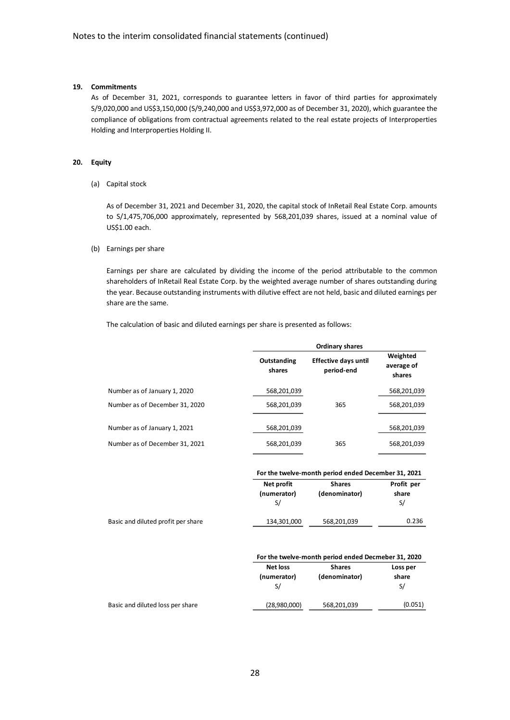### **19. Commitments**

As of December 31, 2021, corresponds to guarantee letters in favor of third parties for approximately S/9,020,000 and US\$3,150,000 (S/9,240,000 and US\$3,972,000 as of December 31, 2020), which guarantee the compliance of obligations from contractual agreements related to the real estate projects of Interproperties Holding and Interproperties Holding II.

#### **20. Equity**

(a) Capital stock

As of December 31, 2021 and December 31, 2020, the capital stock of InRetail Real Estate Corp. amounts to S/1,475,706,000 approximately, represented by 568,201,039 shares, issued at a nominal value of US\$1.00 each.

#### (b) Earnings per share

Earnings per share are calculated by dividing the income of the period attributable to the common shareholders of InRetail Real Estate Corp. by the weighted average number of shares outstanding during the year. Because outstanding instruments with dilutive effect are not held, basic and diluted earnings per share are the same.

The calculation of basic and diluted earnings per share is presented as follows:

|                                | Ordinary shares       |                                           |                                  |  |  |
|--------------------------------|-----------------------|-------------------------------------------|----------------------------------|--|--|
|                                | Outstanding<br>shares | <b>Effective days until</b><br>period-end | Weighted<br>average of<br>shares |  |  |
| Number as of January 1, 2020   | 568,201,039           |                                           | 568,201,039                      |  |  |
| Number as of December 31, 2020 | 568,201,039           | 365                                       | 568,201,039                      |  |  |
|                                |                       |                                           |                                  |  |  |
| Number as of January 1, 2021   | 568,201,039           |                                           | 568,201,039                      |  |  |
| Number as of December 31, 2021 | 568,201,039           | 365                                       | 568,201,039                      |  |  |

|                                    | For the twelve-month period ended December 31, 2021 |                                                     |            |  |  |
|------------------------------------|-----------------------------------------------------|-----------------------------------------------------|------------|--|--|
|                                    | Net profit                                          | <b>Shares</b>                                       | Profit per |  |  |
|                                    | (numerator)                                         | (denominator)                                       | share      |  |  |
|                                    | S/                                                  |                                                     | S/         |  |  |
| Basic and diluted profit per share | 134,301,000                                         | 568,201,039                                         | 0.236      |  |  |
|                                    |                                                     |                                                     |            |  |  |
|                                    |                                                     | For the twelve-month period ended Decmeber 31, 2020 |            |  |  |
|                                    | <b>Net loss</b>                                     | <b>Shares</b>                                       | Loss per   |  |  |
|                                    | (numerator)                                         | (denominator)                                       | share      |  |  |
|                                    | S/                                                  |                                                     | S/         |  |  |
| Basic and diluted loss per share   | (28,980,000)                                        | 568,201,039                                         | (0.051)    |  |  |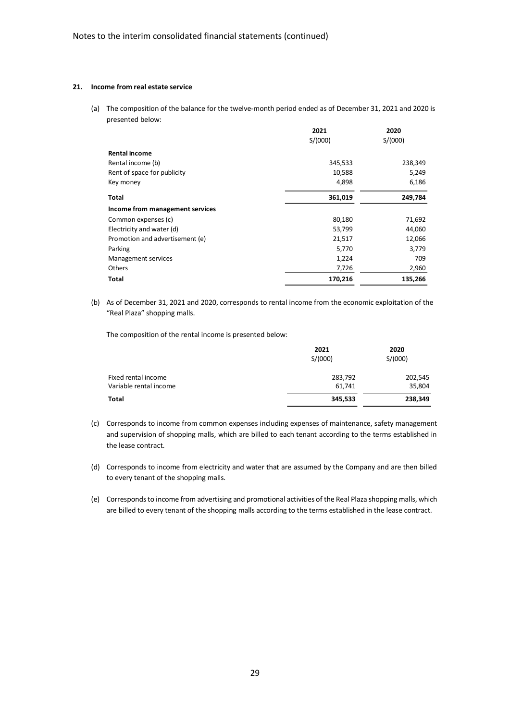#### **21. Income from real estate service**

(a) The composition of the balance for the twelve-month period ended as of December 31, 2021 and 2020 is presented below:

|                                 | 2021    | 2020    |
|---------------------------------|---------|---------|
|                                 | S/(000) | S/(000) |
| <b>Rental income</b>            |         |         |
| Rental income (b)               | 345,533 | 238,349 |
| Rent of space for publicity     | 10,588  | 5,249   |
| Key money                       | 4,898   | 6,186   |
| Total                           | 361,019 | 249,784 |
| Income from management services |         |         |
| Common expenses (c)             | 80,180  | 71,692  |
| Electricity and water (d)       | 53,799  | 44,060  |
| Promotion and advertisement (e) | 21,517  | 12,066  |
| Parking                         | 5,770   | 3,779   |
| Management services             | 1,224   | 709     |
| Others                          | 7,726   | 2,960   |
| <b>Total</b>                    | 170,216 | 135,266 |

(b) As of December 31, 2021 and 2020, corresponds to rental income from the economic exploitation of the "Real Plaza" shopping malls.

The composition of the rental income is presented below:

|                        | 2021    | 2020    |
|------------------------|---------|---------|
|                        | S/(000) | S/(000) |
| Fixed rental income    | 283,792 | 202,545 |
| Variable rental income | 61.741  | 35,804  |
| <b>Total</b>           | 345,533 | 238,349 |

- (c) Corresponds to income from common expenses including expenses of maintenance, safety management and supervision of shopping malls, which are billed to each tenant according to the terms established in the lease contract.
- (d) Corresponds to income from electricity and water that are assumed by the Company and are then billed to every tenant of the shopping malls.
- (e) Corresponds to income from advertising and promotional activities of the Real Plaza shopping malls, which are billed to every tenant of the shopping malls according to the terms established in the lease contract.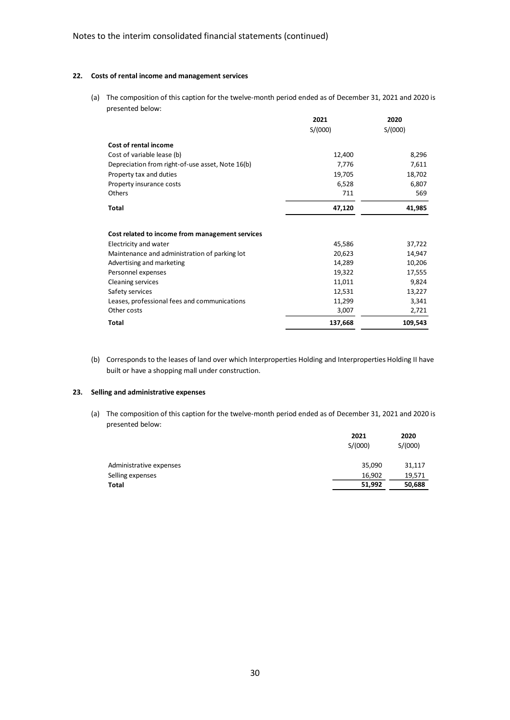#### **22. Costs of rental income and management services**

(a) The composition of this caption for the twelve-month period ended as of December 31, 2021 and 2020 is presented below:

|                                                  | 2021    | 2020    |
|--------------------------------------------------|---------|---------|
|                                                  | S/(000) | S/(000) |
| <b>Cost of rental income</b>                     |         |         |
| Cost of variable lease (b)                       | 12,400  | 8,296   |
| Depreciation from right-of-use asset, Note 16(b) | 7,776   | 7,611   |
| Property tax and duties                          | 19,705  | 18,702  |
| Property insurance costs                         | 6,528   | 6,807   |
| Others                                           | 711     | 569     |
| <b>Total</b>                                     | 47,120  | 41,985  |
| Cost related to income from management services  |         |         |
| Electricity and water                            | 45,586  | 37,722  |
| Maintenance and administration of parking lot    | 20,623  | 14,947  |
| Advertising and marketing                        | 14,289  | 10,206  |
| Personnel expenses                               | 19,322  | 17,555  |
| <b>Cleaning services</b>                         | 11,011  | 9,824   |
| Safety services                                  | 12,531  | 13,227  |
| Leases, professional fees and communications     | 11,299  | 3,341   |
| Other costs                                      | 3,007   | 2,721   |
| <b>Total</b>                                     | 137,668 | 109,543 |

(b) Corresponds to the leases of land over which Interproperties Holding and Interproperties Holding II have built or have a shopping mall under construction.

### **23. Selling and administrative expenses**

(a) The composition of this caption for the twelve-month period ended as of December 31, 2021 and 2020 is presented below:

|                         | 2021    | 2020    |
|-------------------------|---------|---------|
|                         | S/(000) | S/(000) |
| Administrative expenses | 35,090  | 31,117  |
| Selling expenses        | 16.902  | 19,571  |
| Total                   | 51,992  | 50,688  |
|                         |         |         |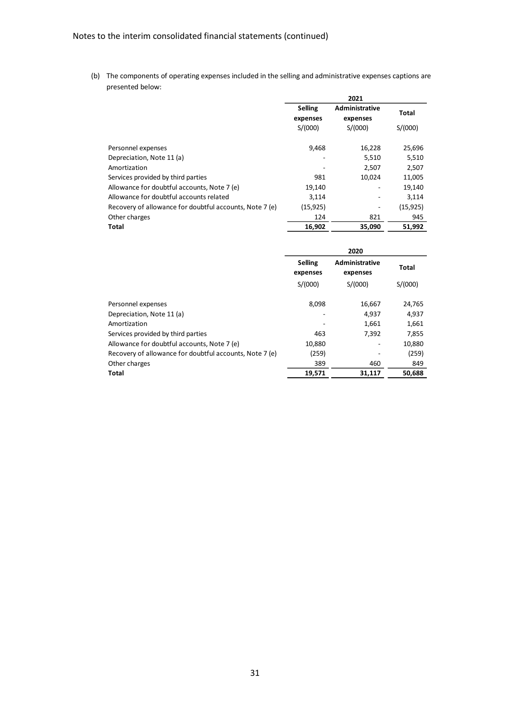(b) The components of operating expenses included in the selling and administrative expenses captions are presented below:

|                                                         |                            | 2021                              |           |
|---------------------------------------------------------|----------------------------|-----------------------------------|-----------|
|                                                         | <b>Selling</b><br>expenses | <b>Administrative</b><br>expenses | Total     |
|                                                         | S/(000)                    | S/(000)                           | S/(000)   |
| Personnel expenses                                      | 9,468                      | 16,228                            | 25,696    |
| Depreciation, Note 11 (a)                               |                            | 5,510                             | 5,510     |
| Amortization                                            |                            | 2,507                             | 2,507     |
| Services provided by third parties                      | 981                        | 10,024                            | 11,005    |
| Allowance for doubtful accounts, Note 7 (e)             | 19,140                     |                                   | 19,140    |
| Allowance for doubtful accounts related                 | 3,114                      |                                   | 3,114     |
| Recovery of allowance for doubtful accounts, Note 7 (e) | (15, 925)                  |                                   | (15, 925) |
| Other charges                                           | 124                        | 821                               | 945       |
| <b>Total</b>                                            | 16,902                     | 35,090                            | 51,992    |

|                                                         |                            | 2020                              |         |
|---------------------------------------------------------|----------------------------|-----------------------------------|---------|
|                                                         | <b>Selling</b><br>expenses | <b>Administrative</b><br>expenses | Total   |
|                                                         | S/(000)                    | S/(000)                           | S/(000) |
| Personnel expenses                                      | 8,098                      | 16,667                            | 24,765  |
| Depreciation, Note 11 (a)                               |                            | 4,937                             | 4,937   |
| Amortization                                            |                            | 1.661                             | 1,661   |
| Services provided by third parties                      | 463                        | 7.392                             | 7,855   |
| Allowance for doubtful accounts, Note 7 (e)             | 10,880                     |                                   | 10,880  |
| Recovery of allowance for doubtful accounts, Note 7 (e) | (259)                      |                                   | (259)   |
| Other charges                                           | 389                        | 460                               | 849     |
| Total                                                   | 19,571                     | 31,117                            | 50,688  |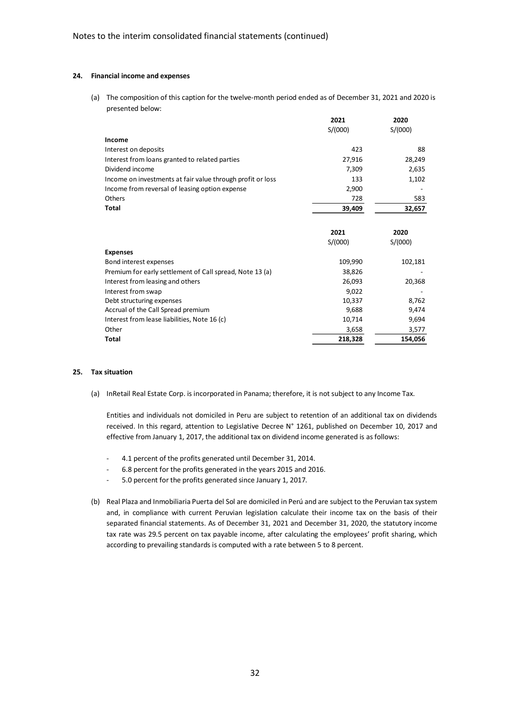#### **24. Financial income and expenses**

(a) The composition of this caption for the twelve-month period ended as of December 31, 2021 and 2020 is presented below:

| S/(000)<br>S/(000)<br>Income<br>423<br>88<br>Interest on deposits<br>27,916<br>28,249<br>Interest from loans granted to related parties<br>Dividend income<br>2,635<br>7,309<br>Income on investments at fair value through profit or loss<br>133<br>1,102<br>Income from reversal of leasing option expense<br>2,900<br>Others<br>728<br>583<br><b>Total</b><br>39,409<br>32,657<br>2021<br>2020<br>S/(000)<br>S/(000)<br><b>Expenses</b><br>109,990<br>102,181<br>Bond interest expenses<br>Premium for early settlement of Call spread, Note 13 (a)<br>38,826<br>Interest from leasing and others<br>26,093<br>20,368<br>Interest from swap<br>9,022<br>Debt structuring expenses<br>10,337<br>8,762<br>Accrual of the Call Spread premium<br>9,688<br>9,474<br>Interest from lease liabilities, Note 16 (c)<br>10,714<br>9,694<br>Other<br>3,658<br>3,577<br><b>Total</b><br>218,328<br>154,056 | 2021 | 2020 |
|-----------------------------------------------------------------------------------------------------------------------------------------------------------------------------------------------------------------------------------------------------------------------------------------------------------------------------------------------------------------------------------------------------------------------------------------------------------------------------------------------------------------------------------------------------------------------------------------------------------------------------------------------------------------------------------------------------------------------------------------------------------------------------------------------------------------------------------------------------------------------------------------------------|------|------|
|                                                                                                                                                                                                                                                                                                                                                                                                                                                                                                                                                                                                                                                                                                                                                                                                                                                                                                     |      |      |
|                                                                                                                                                                                                                                                                                                                                                                                                                                                                                                                                                                                                                                                                                                                                                                                                                                                                                                     |      |      |
|                                                                                                                                                                                                                                                                                                                                                                                                                                                                                                                                                                                                                                                                                                                                                                                                                                                                                                     |      |      |
|                                                                                                                                                                                                                                                                                                                                                                                                                                                                                                                                                                                                                                                                                                                                                                                                                                                                                                     |      |      |
|                                                                                                                                                                                                                                                                                                                                                                                                                                                                                                                                                                                                                                                                                                                                                                                                                                                                                                     |      |      |
|                                                                                                                                                                                                                                                                                                                                                                                                                                                                                                                                                                                                                                                                                                                                                                                                                                                                                                     |      |      |
|                                                                                                                                                                                                                                                                                                                                                                                                                                                                                                                                                                                                                                                                                                                                                                                                                                                                                                     |      |      |
|                                                                                                                                                                                                                                                                                                                                                                                                                                                                                                                                                                                                                                                                                                                                                                                                                                                                                                     |      |      |
|                                                                                                                                                                                                                                                                                                                                                                                                                                                                                                                                                                                                                                                                                                                                                                                                                                                                                                     |      |      |
|                                                                                                                                                                                                                                                                                                                                                                                                                                                                                                                                                                                                                                                                                                                                                                                                                                                                                                     |      |      |
|                                                                                                                                                                                                                                                                                                                                                                                                                                                                                                                                                                                                                                                                                                                                                                                                                                                                                                     |      |      |
|                                                                                                                                                                                                                                                                                                                                                                                                                                                                                                                                                                                                                                                                                                                                                                                                                                                                                                     |      |      |
|                                                                                                                                                                                                                                                                                                                                                                                                                                                                                                                                                                                                                                                                                                                                                                                                                                                                                                     |      |      |
|                                                                                                                                                                                                                                                                                                                                                                                                                                                                                                                                                                                                                                                                                                                                                                                                                                                                                                     |      |      |
|                                                                                                                                                                                                                                                                                                                                                                                                                                                                                                                                                                                                                                                                                                                                                                                                                                                                                                     |      |      |
|                                                                                                                                                                                                                                                                                                                                                                                                                                                                                                                                                                                                                                                                                                                                                                                                                                                                                                     |      |      |
|                                                                                                                                                                                                                                                                                                                                                                                                                                                                                                                                                                                                                                                                                                                                                                                                                                                                                                     |      |      |
|                                                                                                                                                                                                                                                                                                                                                                                                                                                                                                                                                                                                                                                                                                                                                                                                                                                                                                     |      |      |
|                                                                                                                                                                                                                                                                                                                                                                                                                                                                                                                                                                                                                                                                                                                                                                                                                                                                                                     |      |      |
|                                                                                                                                                                                                                                                                                                                                                                                                                                                                                                                                                                                                                                                                                                                                                                                                                                                                                                     |      |      |
|                                                                                                                                                                                                                                                                                                                                                                                                                                                                                                                                                                                                                                                                                                                                                                                                                                                                                                     |      |      |
|                                                                                                                                                                                                                                                                                                                                                                                                                                                                                                                                                                                                                                                                                                                                                                                                                                                                                                     |      |      |

#### **25. Tax situation**

(a) InRetail Real Estate Corp. is incorporated in Panama; therefore, it is not subject to any Income Tax.

Entities and individuals not domiciled in Peru are subject to retention of an additional tax on dividends received. In this regard, attention to Legislative Decree N° 1261, published on December 10, 2017 and effective from January 1, 2017, the additional tax on dividend income generated is as follows:

- 4.1 percent of the profits generated until December 31, 2014.
- 6.8 percent for the profits generated in the years 2015 and 2016.
- 5.0 percent for the profits generated since January 1, 2017.
- (b) Real Plaza and Inmobiliaria Puerta del Sol are domiciled in Perú and are subject to the Peruvian tax system and, in compliance with current Peruvian legislation calculate their income tax on the basis of their separated financial statements. As of December 31, 2021 and December 31, 2020, the statutory income tax rate was 29.5 percent on tax payable income, after calculating the employees' profit sharing, which according to prevailing standards is computed with a rate between 5 to 8 percent.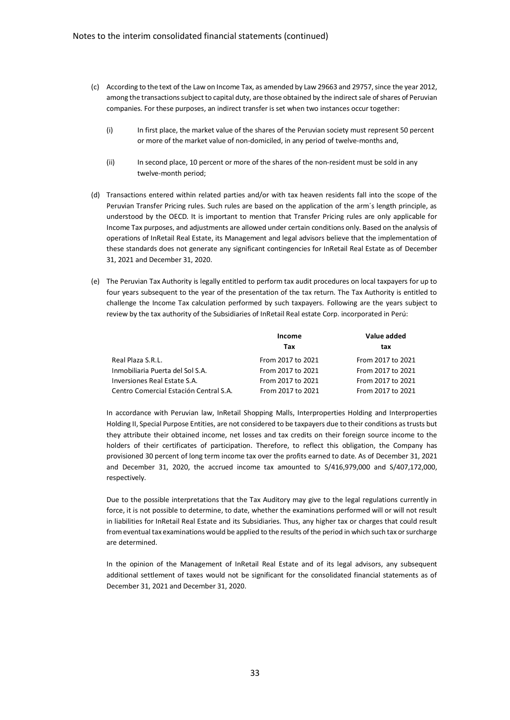- (c) According to the text of the Law on Income Tax, as amended by Law 29663 and 29757, since the year 2012, among the transactions subject to capital duty, are those obtained by the indirect sale of shares of Peruvian companies. For these purposes, an indirect transfer is set when two instances occur together:
	- (i) In first place, the market value of the shares of the Peruvian society must represent 50 percent or more of the market value of non-domiciled, in any period of twelve-months and,
	- (ii) In second place, 10 percent or more of the shares of the non-resident must be sold in any twelve-month period;
- (d) Transactions entered within related parties and/or with tax heaven residents fall into the scope of the Peruvian Transfer Pricing rules. Such rules are based on the application of the arm´s length principle, as understood by the OECD. It is important to mention that Transfer Pricing rules are only applicable for Income Tax purposes, and adjustments are allowed under certain conditions only. Based on the analysis of operations of InRetail Real Estate, its Management and legal advisors believe that the implementation of these standards does not generate any significant contingencies for InRetail Real Estate as of December 31, 2021 and December 31, 2020.
- (e) The Peruvian Tax Authority is legally entitled to perform tax audit procedures on local taxpayers for up to four years subsequent to the year of the presentation of the tax return. The Tax Authority is entitled to challenge the Income Tax calculation performed by such taxpayers. Following are the years subject to review by the tax authority of the Subsidiaries of InRetail Real estate Corp. incorporated in Perú:

|                                        | Income            | Value added       |  |
|----------------------------------------|-------------------|-------------------|--|
|                                        | Tax               | tax               |  |
| Real Plaza S.R.L.                      | From 2017 to 2021 | From 2017 to 2021 |  |
| Inmobiliaria Puerta del Sol S.A.       | From 2017 to 2021 | From 2017 to 2021 |  |
| Inversiones Real Estate S.A.           | From 2017 to 2021 | From 2017 to 2021 |  |
| Centro Comercial Estación Central S.A. | From 2017 to 2021 | From 2017 to 2021 |  |

In accordance with Peruvian law, InRetail Shopping Malls, Interproperties Holding and Interproperties Holding II, Special Purpose Entities, are not considered to be taxpayers due to their conditions as trusts but they attribute their obtained income, net losses and tax credits on their foreign source income to the holders of their certificates of participation. Therefore, to reflect this obligation, the Company has provisioned 30 percent of long term income tax over the profits earned to date. As of December 31, 2021 and December 31, 2020, the accrued income tax amounted to S/416,979,000 and S/407,172,000, respectively.

Due to the possible interpretations that the Tax Auditory may give to the legal regulations currently in force, it is not possible to determine, to date, whether the examinations performed will or will not result in liabilities for InRetail Real Estate and its Subsidiaries. Thus, any higher tax or charges that could result from eventual tax examinations would be applied to the results of the period in which such tax or surcharge are determined.

In the opinion of the Management of InRetail Real Estate and of its legal advisors, any subsequent additional settlement of taxes would not be significant for the consolidated financial statements as of December 31, 2021 and December 31, 2020.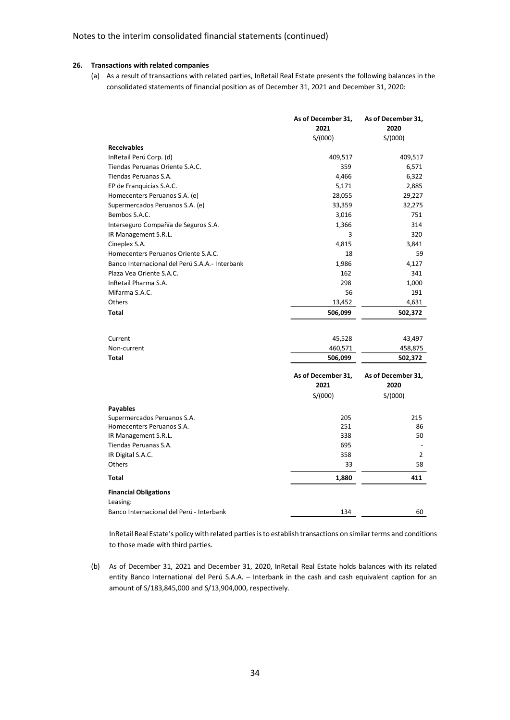### **26. Transactions with related companies**

(a) As a result of transactions with related parties, InRetail Real Estate presents the following balances in the consolidated statements of financial position as of December 31, 2021 and December 31, 2020:

|                                                | As of December 31, | As of December 31, |
|------------------------------------------------|--------------------|--------------------|
|                                                | 2021               | 2020               |
|                                                | S/(000)            | S/(000)            |
| <b>Receivables</b>                             |                    |                    |
| InRetail Perú Corp. (d)                        | 409,517            | 409,517            |
| Tiendas Peruanas Oriente S.A.C.                | 359                | 6,571              |
| Tiendas Peruanas S.A.                          | 4,466              | 6,322              |
| EP de Franquicias S.A.C.                       | 5,171              | 2,885              |
| Homecenters Peruanos S.A. (e)                  | 28,055             | 29,227             |
| Supermercados Peruanos S.A. (e)                | 33,359             | 32,275             |
| Bembos S.A.C.                                  | 3,016              | 751                |
| Interseguro Compañía de Seguros S.A.           | 1,366              | 314                |
| IR Management S.R.L.                           | 3                  | 320                |
| Cineplex S.A.                                  | 4,815              | 3,841              |
| Homecenters Peruanos Oriente S.A.C.            | 18                 | 59                 |
| Banco Internacional del Perú S.A.A.- Interbank | 1,986              | 4,127              |
| Plaza Vea Oriente S.A.C.                       | 162                | 341                |
| InRetail Pharma S.A.                           | 298                | 1,000              |
| Mifarma S.A.C.                                 | 56                 | 191                |
| Others                                         | 13,452             | 4,631              |
| <b>Total</b>                                   | 506,099            | 502,372            |
|                                                |                    |                    |
| Current                                        | 45,528             | 43,497             |
| Non-current                                    | 460,571            | 458,875            |
| <b>Total</b>                                   | 506,099            | 502,372            |
|                                                | As of December 31, | As of December 31, |
|                                                | 2021               | 2020               |
|                                                | S/(000)            | S/(000)            |
| <b>Payables</b>                                |                    |                    |
| Supermercados Peruanos S.A.                    | 205                | 215                |
| Homecenters Peruanos S.A.                      | 251                | 86                 |
| IR Management S.R.L.                           | 338                | 50                 |
| Tiendas Peruanas S.A.                          | 695                |                    |
| IR Digital S.A.C.                              | 358                | $\overline{2}$     |
| Others                                         | 33                 | 58                 |
| <b>Total</b>                                   | 1,880              | 411                |
| <b>Financial Obligations</b>                   |                    |                    |
| Leasing:                                       |                    |                    |
| Banco Internacional del Perú - Interbank       | 134                | 60                 |

InRetail Real Estate's policy with related parties is to establish transactions on similar terms and conditions to those made with third parties.

(b) As of December 31, 2021 and December 31, 2020, InRetail Real Estate holds balances with its related entity Banco International del Perú S.A.A. – Interbank in the cash and cash equivalent caption for an amount of S/183,845,000 and S/13,904,000, respectively.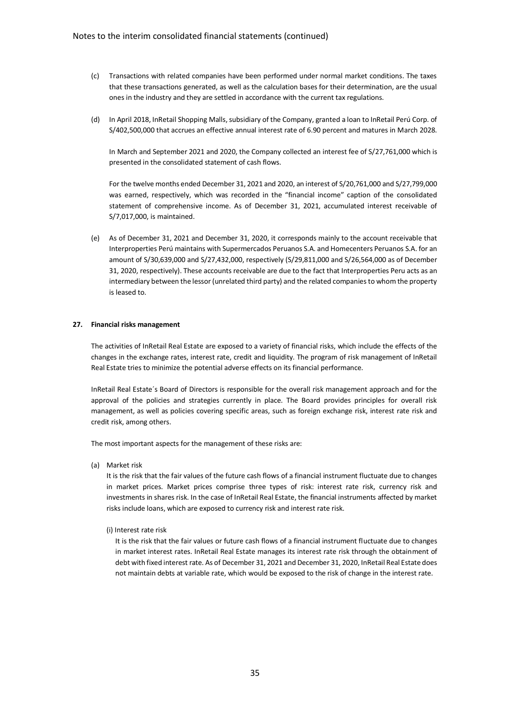- (c) Transactions with related companies have been performed under normal market conditions. The taxes that these transactions generated, as well as the calculation bases for their determination, are the usual ones in the industry and they are settled in accordance with the current tax regulations.
- (d) In April 2018, InRetail Shopping Malls, subsidiary of the Company, granted a loan to InRetail Perú Corp. of S/402,500,000 that accrues an effective annual interest rate of 6.90 percent and matures in March 2028.

In March and September 2021 and 2020, the Company collected an interest fee of S/27,761,000 which is presented in the consolidated statement of cash flows.

For the twelve months ended December 31, 2021 and 2020, an interest of S/20,761,000 and S/27,799,000 was earned, respectively, which was recorded in the "financial income" caption of the consolidated statement of comprehensive income. As of December 31, 2021, accumulated interest receivable of S/7,017,000, is maintained.

(e) As of December 31, 2021 and December 31, 2020, it corresponds mainly to the account receivable that Interproperties Perú maintains with Supermercados Peruanos S.A. and Homecenters Peruanos S.A. for an amount of S/30,639,000 and S/27,432,000, respectively (S/29,811,000 and S/26,564,000 as of December 31, 2020, respectively). These accounts receivable are due to the fact that Interproperties Peru acts as an intermediary between the lessor (unrelated third party) and the related companies to whom the property is leased to.

#### **27. Financial risks management**

The activities of InRetail Real Estate are exposed to a variety of financial risks, which include the effects of the changes in the exchange rates, interest rate, credit and liquidity. The program of risk management of InRetail Real Estate tries to minimize the potential adverse effects on its financial performance.

InRetail Real Estate´s Board of Directors is responsible for the overall risk management approach and for the approval of the policies and strategies currently in place. The Board provides principles for overall risk management, as well as policies covering specific areas, such as foreign exchange risk, interest rate risk and credit risk, among others.

The most important aspects for the management of these risks are:

(a) Market risk

It is the risk that the fair values of the future cash flows of a financial instrument fluctuate due to changes in market prices. Market prices comprise three types of risk: interest rate risk, currency risk and investments in shares risk. In the case of InRetail Real Estate, the financial instruments affected by market risks include loans, which are exposed to currency risk and interest rate risk.

(i) Interest rate risk

It is the risk that the fair values or future cash flows of a financial instrument fluctuate due to changes in market interest rates. InRetail Real Estate manages its interest rate risk through the obtainment of debt with fixed interest rate. As of December 31, 2021 and December 31, 2020, InRetail Real Estate does not maintain debts at variable rate, which would be exposed to the risk of change in the interest rate.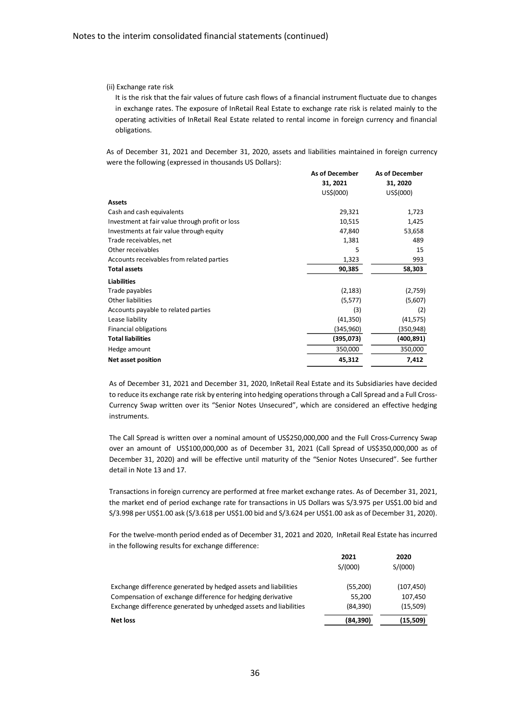#### (ii) Exchange rate risk

It is the risk that the fair values of future cash flows of a financial instrument fluctuate due to changes in exchange rates. The exposure of InRetail Real Estate to exchange rate risk is related mainly to the operating activities of InRetail Real Estate related to rental income in foreign currency and financial obligations.

As of December 31, 2021 and December 31, 2020, assets and liabilities maintained in foreign currency were the following (expressed in thousands US Dollars):

|                                                 | As of December | <b>As of December</b> |
|-------------------------------------------------|----------------|-----------------------|
|                                                 | 31, 2021       | 31, 2020              |
|                                                 | US\$(000)      | US\$(000)             |
| <b>Assets</b>                                   |                |                       |
| Cash and cash equivalents                       | 29,321         | 1,723                 |
| Investment at fair value through profit or loss | 10,515         | 1,425                 |
| Investments at fair value through equity        | 47,840         | 53,658                |
| Trade receivables, net                          | 1,381          | 489                   |
| Other receivables                               | 5              | 15                    |
| Accounts receivables from related parties       | 1,323          | 993                   |
| <b>Total assets</b>                             | 90,385         | 58,303                |
| <b>Liabilities</b>                              |                |                       |
| Trade payables                                  | (2, 183)       | (2,759)               |
| Other liabilities                               | (5,577)        | (5,607)               |
| Accounts payable to related parties             | (3)            | (2)                   |
| Lease liability                                 | (41,350)       | (41, 575)             |
| Financial obligations                           | (345,960)      | (350,948)             |
| <b>Total liabilities</b>                        | (395,073)      | (400,891)             |
| Hedge amount                                    | 350,000        | 350,000               |
| <b>Net asset position</b>                       | 45,312         | 7,412                 |
|                                                 |                |                       |

As of December 31, 2021 and December 31, 2020, InRetail Real Estate and its Subsidiaries have decided to reduce its exchange rate risk by entering into hedging operationsthrough a Call Spread and a Full Cross-Currency Swap written over its "Senior Notes Unsecured", which are considered an effective hedging instruments.

The Call Spread is written over a nominal amount of US\$250,000,000 and the Full Cross-Currency Swap over an amount of US\$100,000,000 as of December 31, 2021 (Call Spread of US\$350,000,000 as of December 31, 2020) and will be effective until maturity of the "Senior Notes Unsecured". See further detail in Note 13 and 17.

Transactions in foreign currency are performed at free market exchange rates. As of December 31, 2021, the market end of period exchange rate for transactions in US Dollars was S/3.975 per US\$1.00 bid and S/3.998 per US\$1.00 ask (S/3.618 per US\$1.00 bid and S/3.624 per US\$1.00 ask as of December 31, 2020).

For the twelve-month period ended as of December 31, 2021 and 2020, InRetail Real Estate has incurred in the following results for exchange difference:

|                                                                  | 2021<br>S/(000) | 2020<br>S/(000) |
|------------------------------------------------------------------|-----------------|-----------------|
| Exchange difference generated by hedged assets and liabilities   | (55,200)        | (107, 450)      |
| Compensation of exchange difference for hedging derivative       | 55.200          | 107,450         |
| Exchange difference generated by unhedged assets and liabilities | (84, 390)       | (15,509)        |
| Net loss                                                         | (84,390)        | (15,509)        |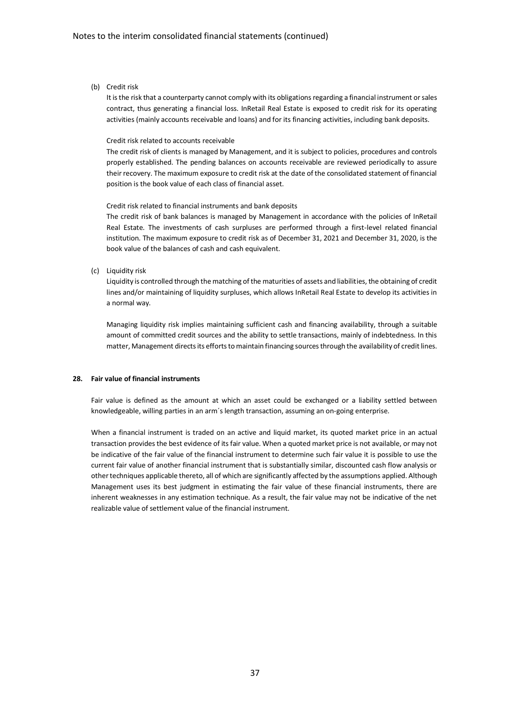(b) Credit risk

It is the risk that a counterparty cannot comply with its obligations regarding a financial instrument or sales contract, thus generating a financial loss. InRetail Real Estate is exposed to credit risk for its operating activities (mainly accounts receivable and loans) and for its financing activities, including bank deposits.

#### Credit risk related to accounts receivable

The credit risk of clients is managed by Management, and it is subject to policies, procedures and controls properly established. The pending balances on accounts receivable are reviewed periodically to assure their recovery. The maximum exposure to credit risk at the date of the consolidated statement of financial position is the book value of each class of financial asset.

#### Credit risk related to financial instruments and bank deposits

The credit risk of bank balances is managed by Management in accordance with the policies of InRetail Real Estate. The investments of cash surpluses are performed through a first-level related financial institution. The maximum exposure to credit risk as of December 31, 2021 and December 31, 2020, is the book value of the balances of cash and cash equivalent.

(c) Liquidity risk

Liquidity is controlled through the matching of the maturities of assets and liabilities, the obtaining of credit lines and/or maintaining of liquidity surpluses, which allows InRetail Real Estate to develop its activities in a normal way.

Managing liquidity risk implies maintaining sufficient cash and financing availability, through a suitable amount of committed credit sources and the ability to settle transactions, mainly of indebtedness. In this matter, Management directs its efforts to maintain financing sources through the availability of credit lines.

### **28. Fair value of financial instruments**

Fair value is defined as the amount at which an asset could be exchanged or a liability settled between knowledgeable, willing parties in an arm´s length transaction, assuming an on-going enterprise.

When a financial instrument is traded on an active and liquid market, its quoted market price in an actual transaction provides the best evidence of its fair value. When a quoted market price is not available, or may not be indicative of the fair value of the financial instrument to determine such fair value it is possible to use the current fair value of another financial instrument that is substantially similar, discounted cash flow analysis or other techniques applicable thereto, all of which are significantly affected by the assumptions applied. Although Management uses its best judgment in estimating the fair value of these financial instruments, there are inherent weaknesses in any estimation technique. As a result, the fair value may not be indicative of the net realizable value of settlement value of the financial instrument.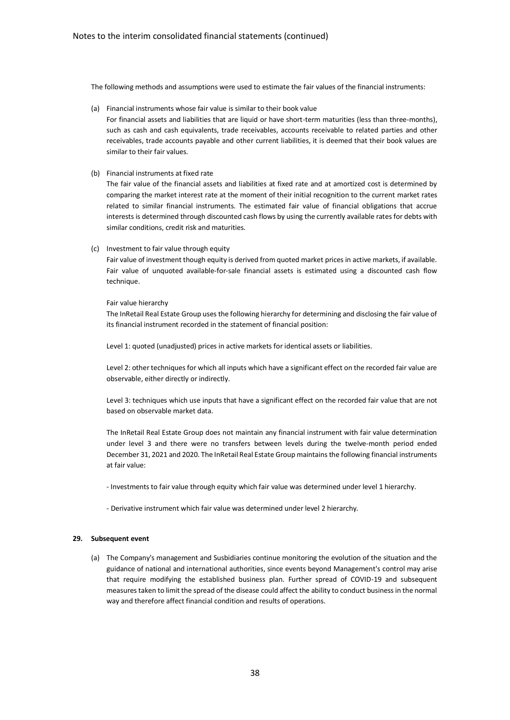The following methods and assumptions were used to estimate the fair values of the financial instruments:

(a) Financial instruments whose fair value is similar to their book value

For financial assets and liabilities that are liquid or have short-term maturities (less than three-months), such as cash and cash equivalents, trade receivables, accounts receivable to related parties and other receivables, trade accounts payable and other current liabilities, it is deemed that their book values are similar to their fair values.

(b) Financial instruments at fixed rate

The fair value of the financial assets and liabilities at fixed rate and at amortized cost is determined by comparing the market interest rate at the moment of their initial recognition to the current market rates related to similar financial instruments. The estimated fair value of financial obligations that accrue interests is determined through discounted cash flows by using the currently available rates for debts with similar conditions, credit risk and maturities.

(c) Investment to fair value through equity

Fair value of investment though equity is derived from quoted market prices in active markets, if available. Fair value of unquoted available-for-sale financial assets is estimated using a discounted cash flow technique.

#### Fair value hierarchy

The InRetail Real Estate Group uses the following hierarchy for determining and disclosing the fair value of its financial instrument recorded in the statement of financial position:

Level 1: quoted (unadjusted) prices in active markets for identical assets or liabilities.

Level 2: other techniques for which all inputs which have a significant effect on the recorded fair value are observable, either directly or indirectly.

Level 3: techniques which use inputs that have a significant effect on the recorded fair value that are not based on observable market data.

The InRetail Real Estate Group does not maintain any financial instrument with fair value determination under level 3 and there were no transfers between levels during the twelve-month period ended December 31, 2021 and 2020. The InRetail Real Estate Group maintains the following financial instruments at fair value:

- Investments to fair value through equity which fair value was determined under level 1 hierarchy.

- Derivative instrument which fair value was determined under level 2 hierarchy.

#### **29. Subsequent event**

(a) The Company's management and Susbidiaries continue monitoring the evolution of the situation and the guidance of national and international authorities, since events beyond Management's control may arise that require modifying the established business plan. Further spread of COVID-19 and subsequent measures taken to limit the spread of the disease could affect the ability to conduct business in the normal way and therefore affect financial condition and results of operations.